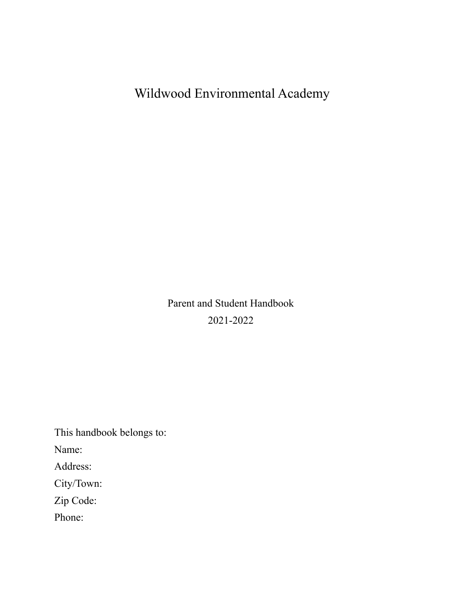Wildwood Environmental Academy

Parent and Student Handbook 2021-2022

This handbook belongs to: Name: Address: City/Town: Zip Code:

Phone: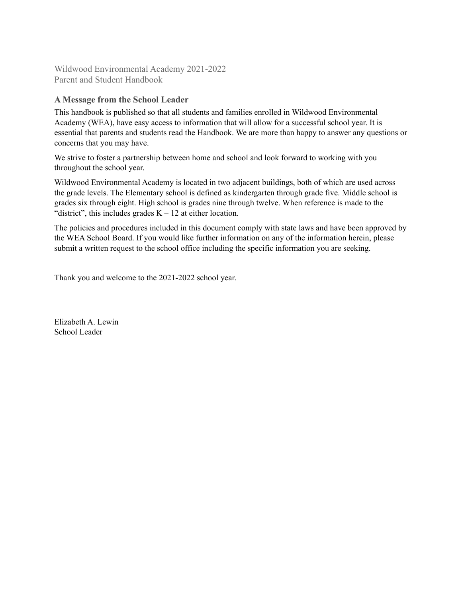Wildwood Environmental Academy 2021-2022 Parent and Student Handbook

# **A Message from the School Leader**

This handbook is published so that all students and families enrolled in Wildwood Environmental Academy (WEA), have easy access to information that will allow for a successful school year. It is essential that parents and students read the Handbook. We are more than happy to answer any questions or concerns that you may have.

We strive to foster a partnership between home and school and look forward to working with you throughout the school year.

Wildwood Environmental Academy is located in two adjacent buildings, both of which are used across the grade levels. The Elementary school is defined as kindergarten through grade five. Middle school is grades six through eight. High school is grades nine through twelve. When reference is made to the "district", this includes grades  $K - 12$  at either location.

The policies and procedures included in this document comply with state laws and have been approved by the WEA School Board. If you would like further information on any of the information herein, please submit a written request to the school office including the specific information you are seeking.

Thank you and welcome to the 2021-2022 school year.

Elizabeth A. Lewin School Leader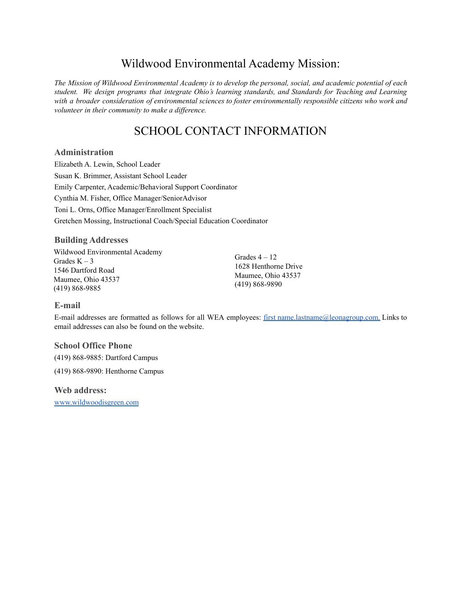# Wildwood Environmental Academy Mission:

The Mission of Wildwood Environmental Academy is to develop the personal, social, and academic potential of each *student. We design programs that integrate Ohio's learning standards, and Standards for Teaching and Learning with a broader consideration of environmental sciences to foster environmentally responsible citizens who work and volunteer in their community to make a dif erence.*

# SCHOOL CONTACT INFORMATION

## **Administration**

Elizabeth A. Lewin, School Leader Susan K. Brimmer, Assistant School Leader Emily Carpenter, Academic/Behavioral Support Coordinator Cynthia M. Fisher, Office Manager/SeniorAdvisor Toni L. Orns, Office Manager/Enrollment Specialist Gretchen Mossing, Instructional Coach/Special Education Coordinator

## **Building Addresses**

Wildwood Environmental Academy Grades  $K - 3$ 1546 Dartford Road Maumee, Ohio 43537 (419) 868-9885

Grades  $4 - 12$ 1628 Henthorne Drive Maumee, Ohio 43537 (419) 868-9890

## **E-mail**

E-mail addresses are formatted as follows for all WEA employees: first [name.lastname@leonagroup.com.](mailto:name@leonagroup.com) Links to email addresses can also be found on the website.

#### **School Office Phone**

(419) 868-9885: Dartford Campus

(419) 868-9890: Henthorne Campus

#### **Web address:**

[www.wildwoodisgreen.com](http://www.leonagroup.com/wildwood/)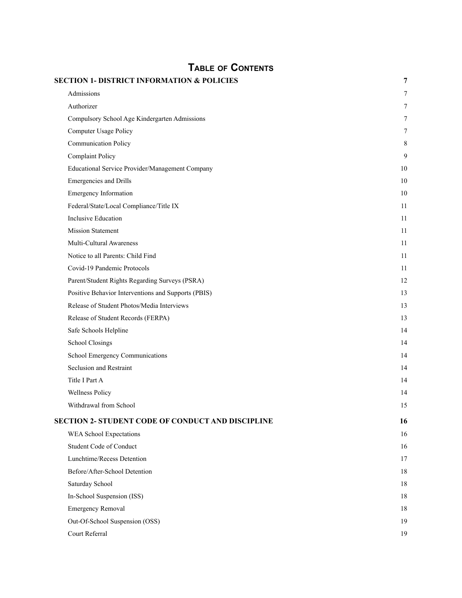| <b>TABLE OF CONTENTS</b>                              |    |
|-------------------------------------------------------|----|
| <b>SECTION 1- DISTRICT INFORMATION &amp; POLICIES</b> | 7  |
| Admissions                                            | 7  |
| Authorizer                                            | 7  |
| Compulsory School Age Kindergarten Admissions         | 7  |
| Computer Usage Policy                                 | 7  |
| Communication Policy                                  | 8  |
| Complaint Policy                                      | 9  |
| Educational Service Provider/Management Company       | 10 |
| Emergencies and Drills                                | 10 |
| <b>Emergency Information</b>                          | 10 |
| Federal/State/Local Compliance/Title IX               | 11 |
| <b>Inclusive Education</b>                            | 11 |
| <b>Mission Statement</b>                              | 11 |
| Multi-Cultural Awareness                              | 11 |
| Notice to all Parents: Child Find                     | 11 |
| Covid-19 Pandemic Protocols                           | 11 |
| Parent/Student Rights Regarding Surveys (PSRA)        | 12 |
| Positive Behavior Interventions and Supports (PBIS)   | 13 |
| Release of Student Photos/Media Interviews            | 13 |
| Release of Student Records (FERPA)                    | 13 |
| Safe Schools Helpline                                 | 14 |
| School Closings                                       | 14 |
| School Emergency Communications                       | 14 |
| Seclusion and Restraint                               | 14 |
| Title I Part A                                        | 14 |
| <b>Wellness Policy</b>                                | 14 |
| Withdrawal from School                                | 15 |
| SECTION 2- STUDENT CODE OF CONDUCT AND DISCIPLINE     | 16 |
| WEA School Expectations                               | 16 |
| <b>Student Code of Conduct</b>                        | 16 |
| Lunchtime/Recess Detention                            | 17 |
| Before/After-School Detention                         | 18 |
| Saturday School                                       | 18 |
| In-School Suspension (ISS)                            | 18 |
| <b>Emergency Removal</b>                              | 18 |
| Out-Of-School Suspension (OSS)                        | 19 |
| Court Referral                                        | 19 |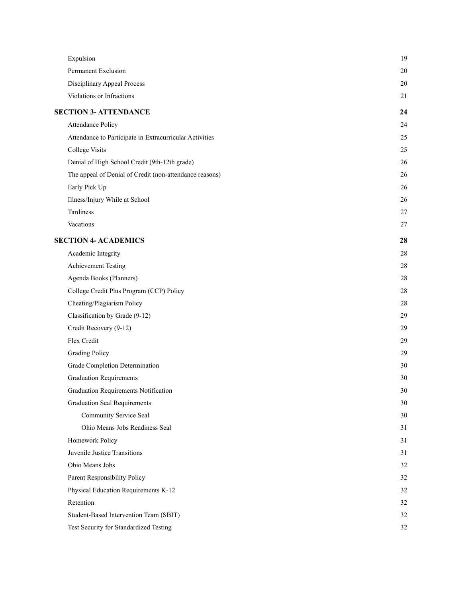| Expulsion                                               | 19 |
|---------------------------------------------------------|----|
| Permanent Exclusion                                     | 20 |
| Disciplinary Appeal Process                             | 20 |
| Violations or Infractions                               | 21 |
| <b>SECTION 3- ATTENDANCE</b>                            | 24 |
| Attendance Policy                                       | 24 |
| Attendance to Participate in Extracurricular Activities | 25 |
| <b>College Visits</b>                                   | 25 |
| Denial of High School Credit (9th-12th grade)           | 26 |
| The appeal of Denial of Credit (non-attendance reasons) | 26 |
| Early Pick Up                                           | 26 |
| Illness/Injury While at School                          | 26 |
| Tardiness                                               | 27 |
| Vacations                                               | 27 |
| <b>SECTION 4- ACADEMICS</b>                             | 28 |
| Academic Integrity                                      | 28 |
| <b>Achievement Testing</b>                              | 28 |
| Agenda Books (Planners)                                 | 28 |
| College Credit Plus Program (CCP) Policy                | 28 |
| Cheating/Plagiarism Policy                              | 28 |
| Classification by Grade (9-12)                          | 29 |
| Credit Recovery (9-12)                                  | 29 |
| Flex Credit                                             | 29 |
| <b>Grading Policy</b>                                   | 29 |
| Grade Completion Determination                          | 30 |
| <b>Graduation Requirements</b>                          | 30 |
| Graduation Requirements Notification                    | 30 |
| <b>Graduation Seal Requirements</b>                     | 30 |
| Community Service Seal                                  | 30 |
| Ohio Means Jobs Readiness Seal                          | 31 |
| Homework Policy                                         | 31 |
| Juvenile Justice Transitions                            | 31 |
| Ohio Means Jobs                                         | 32 |
| Parent Responsibility Policy                            | 32 |
| Physical Education Requirements K-12                    | 32 |
| Retention                                               | 32 |
| Student-Based Intervention Team (SBIT)                  | 32 |
| Test Security for Standardized Testing                  | 32 |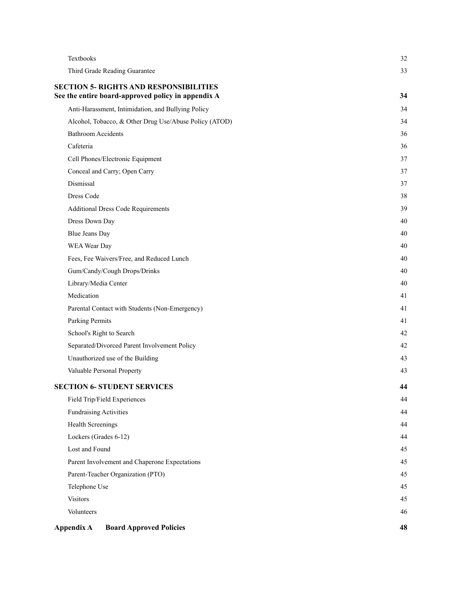| Textbooks                                              | 32 |
|--------------------------------------------------------|----|
| Third Grade Reading Guarantee                          | 33 |
| <b>SECTION 5- RIGHTS AND RESPONSIBILITIES</b>          |    |
| See the entire board-approved policy in appendix A     | 34 |
| Anti-Harassment, Intimidation, and Bullying Policy     | 34 |
| Alcohol, Tobacco, & Other Drug Use/Abuse Policy (ATOD) | 34 |
| <b>Bathroom Accidents</b>                              | 36 |
| Cafeteria                                              | 36 |
| Cell Phones/Electronic Equipment                       | 37 |
| Conceal and Carry; Open Carry                          | 37 |
| Dismissal                                              | 37 |
| Dress Code                                             | 38 |
| <b>Additional Dress Code Requirements</b>              | 39 |
| Dress Down Day                                         | 40 |
| <b>Blue Jeans Day</b>                                  | 40 |
| WEA Wear Day                                           | 40 |
| Fees, Fee Waivers/Free, and Reduced Lunch              | 40 |
| Gum/Candy/Cough Drops/Drinks                           | 40 |
| Library/Media Center                                   | 40 |
| Medication                                             | 41 |
| Parental Contact with Students (Non-Emergency)         | 41 |
| Parking Permits                                        | 41 |
| School's Right to Search                               | 42 |
| Separated/Divorced Parent Involvement Policy           | 42 |
| Unauthorized use of the Building                       | 43 |
| Valuable Personal Property                             | 43 |
| <b>SECTION 6- STUDENT SERVICES</b>                     | 44 |
| Field Trip/Field Experiences                           | 44 |
| <b>Fundraising Activities</b>                          | 44 |
| Health Screenings                                      | 44 |
| Lockers (Grades 6-12)                                  | 44 |
| Lost and Found                                         | 45 |
| Parent Involvement and Chaperone Expectations          | 45 |
| Parent-Teacher Organization (PTO)                      | 45 |
| Telephone Use                                          | 45 |
| <b>Visitors</b>                                        | 45 |
| Volunteers                                             | 46 |
| Appendix A<br><b>Board Approved Policies</b>           | 48 |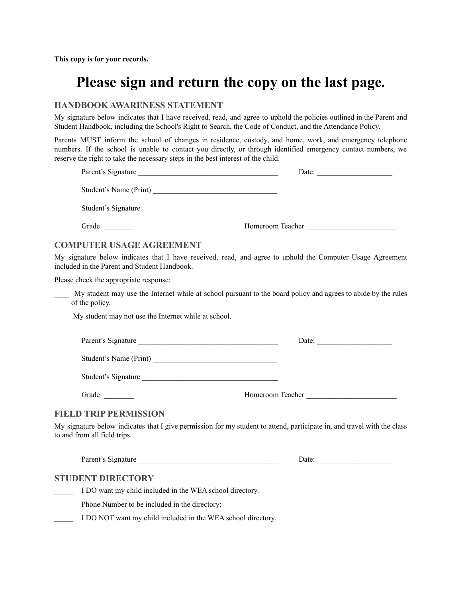**This copy is for your records.**

# **Please sign and return the copy on the last page.**

## **HANDBOOK AWARENESS STATEMENT**

My signature below indicates that I have received, read, and agree to uphold the policies outlined in the Parent and Student Handbook, including the School's Right to Search, the Code of Conduct, and the Attendance Policy.

Parents MUST inform the school of changes in residence, custody, and home, work, and emergency telephone numbers. If the school is unable to contact you directly, or through identified emergency contact numbers, we reserve the right to take the necessary steps in the best interest of the child.

| Parent's Signature                                           | Date:                                                                                                                   |
|--------------------------------------------------------------|-------------------------------------------------------------------------------------------------------------------------|
|                                                              |                                                                                                                         |
| Student's Signature                                          |                                                                                                                         |
| Grade                                                        | Homeroom Teacher                                                                                                        |
| <b>COMPUTER USAGE AGREEMENT</b>                              |                                                                                                                         |
| included in the Parent and Student Handbook.                 | My signature below indicates that I have received, read, and agree to uphold the Computer Usage Agreement               |
| Please check the appropriate response:                       |                                                                                                                         |
| of the policy.                                               | My student may use the Internet while at school pursuant to the board policy and agrees to abide by the rules           |
| My student may not use the Internet while at school.         |                                                                                                                         |
| Parent's Signature                                           | Date: $\frac{1}{\sqrt{1-\frac{1}{2}}\cdot\frac{1}{2}}$                                                                  |
|                                                              |                                                                                                                         |
| Student's Signature                                          |                                                                                                                         |
| Grade                                                        | Homeroom Teacher                                                                                                        |
| <b>FIELD TRIP PERMISSION</b>                                 |                                                                                                                         |
| to and from all field trips.                                 | My signature below indicates that I give permission for my student to attend, participate in, and travel with the class |
| Parent's Signature                                           |                                                                                                                         |
| <b>STUDENT DIRECTORY</b>                                     |                                                                                                                         |
| I DO want my child included in the WEA school directory.     |                                                                                                                         |
| Phone Number to be included in the directory:                |                                                                                                                         |
| I DO NOT want my child included in the WEA school directory. |                                                                                                                         |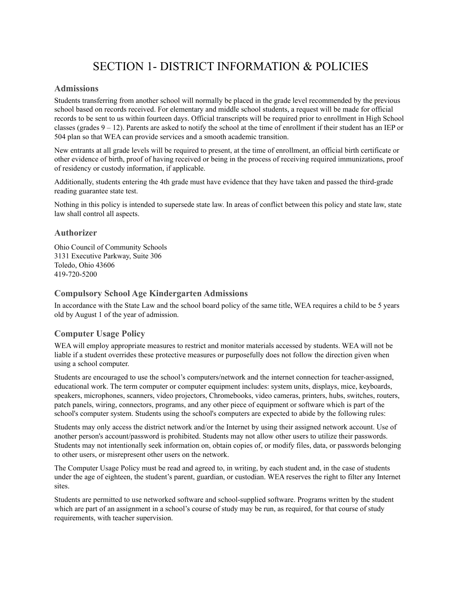# SECTION 1- DISTRICT INFORMATION & POLICIES

## <span id="page-7-1"></span><span id="page-7-0"></span>**Admissions**

Students transferring from another school will normally be placed in the grade level recommended by the previous school based on records received. For elementary and middle school students, a request will be made for official records to be sent to us within fourteen days. Official transcripts will be required prior to enrollment in High School classes (grades  $9 - 12$ ). Parents are asked to notify the school at the time of enrollment if their student has an IEP or 504 plan so that WEA can provide services and a smooth academic transition.

New entrants at all grade levels will be required to present, at the time of enrollment, an official birth certificate or other evidence of birth, proof of having received or being in the process of receiving required immunizations, proof of residency or custody information, if applicable.

Additionally, students entering the 4th grade must have evidence that they have taken and passed the third-grade reading guarantee state test.

Nothing in this policy is intended to supersede state law. In areas of conflict between this policy and state law, state law shall control all aspects.

#### <span id="page-7-2"></span>**Authorizer**

Ohio Council of Community Schools 3131 Executive Parkway, Suite 306 Toledo, Ohio 43606 419-720-5200

#### <span id="page-7-3"></span>**Compulsory School Age Kindergarten Admissions**

In accordance with the State Law and the school board policy of the same title, WEA requires a child to be 5 years old by August 1 of the year of admission.

#### <span id="page-7-4"></span>**Computer Usage Policy**

WEA will employ appropriate measures to restrict and monitor materials accessed by students. WEA will not be liable if a student overrides these protective measures or purposefully does not follow the direction given when using a school computer.

Students are encouraged to use the school's computers/network and the internet connection for teacher-assigned, educational work. The term computer or computer equipment includes: system units, displays, mice, keyboards, speakers, microphones, scanners, video projectors, Chromebooks, video cameras, printers, hubs, switches, routers, patch panels, wiring, connectors, programs, and any other piece of equipment or software which is part of the school's computer system. Students using the school's computers are expected to abide by the following rules:

Students may only access the district network and/or the Internet by using their assigned network account. Use of another person's account/password is prohibited. Students may not allow other users to utilize their passwords. Students may not intentionally seek information on, obtain copies of, or modify files, data, or passwords belonging to other users, or misrepresent other users on the network.

The Computer Usage Policy must be read and agreed to, in writing, by each student and, in the case of students under the age of eighteen, the student's parent, guardian, or custodian. WEA reserves the right to filter any Internet sites.

Students are permitted to use networked software and school-supplied software. Programs written by the student which are part of an assignment in a school's course of study may be run, as required, for that course of study requirements, with teacher supervision.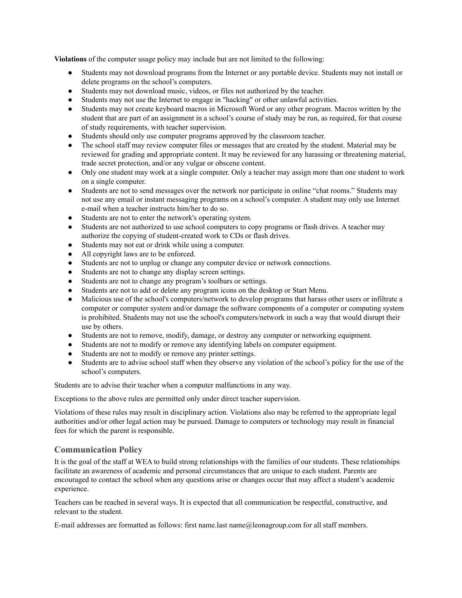**Violations** of the computer usage policy may include but are not limited to the following:

- Students may not download programs from the Internet or any portable device. Students may not install or delete programs on the school's computers.
- Students may not download music, videos, or files not authorized by the teacher.
- Students may not use the Internet to engage in "hacking" or other unlawful activities.
- Students may not create keyboard macros in Microsoft Word or any other program. Macros written by the student that are part of an assignment in a school's course of study may be run, as required, for that course of study requirements, with teacher supervision.
- Students should only use computer programs approved by the classroom teacher.
- The school staff may review computer files or messages that are created by the student. Material may be reviewed for grading and appropriate content. It may be reviewed for any harassing or threatening material, trade secret protection, and/or any vulgar or obscene content.
- Only one student may work at a single computer. Only a teacher may assign more than one student to work on a single computer.
- Students are not to send messages over the network nor participate in online "chat rooms." Students may not use any email or instant messaging programs on a school's computer. A student may only use Internet e-mail when a teacher instructs him/her to do so.
- Students are not to enter the network's operating system.
- Students are not authorized to use school computers to copy programs or flash drives. A teacher may authorize the copying of student-created work to CDs or flash drives.
- Students may not eat or drink while using a computer.
- All copyright laws are to be enforced.
- Students are not to unplug or change any computer device or network connections.
- Students are not to change any display screen settings.
- Students are not to change any program's toolbars or settings.
- Students are not to add or delete any program icons on the desktop or Start Menu.
- Malicious use of the school's computers/network to develop programs that harass other users or infiltrate a computer or computer system and/or damage the software components of a computer or computing system is prohibited. Students may not use the school's computers/network in such a way that would disrupt their use by others.
- Students are not to remove, modify, damage, or destroy any computer or networking equipment.
- Students are not to modify or remove any identifying labels on computer equipment.
- Students are not to modify or remove any printer settings.
- Students are to advise school staff when they observe any violation of the school's policy for the use of the school's computers.

Students are to advise their teacher when a computer malfunctions in any way.

Exceptions to the above rules are permitted only under direct teacher supervision.

Violations of these rules may result in disciplinary action. Violations also may be referred to the appropriate legal authorities and/or other legal action may be pursued. Damage to computers or technology may result in financial fees for which the parent is responsible.

#### <span id="page-8-0"></span>**Communication Policy**

It is the goal of the staff at WEA to build strong relationships with the families of our students. These relationships facilitate an awareness of academic and personal circumstances that are unique to each student. Parents are encouraged to contact the school when any questions arise or changes occur that may affect a student's academic experience.

Teachers can be reached in several ways. It is expected that all communication be respectful, constructive, and relevant to the student.

E-mail addresses are formatted as follows: first name.last name@leonagroup.com for all staff members.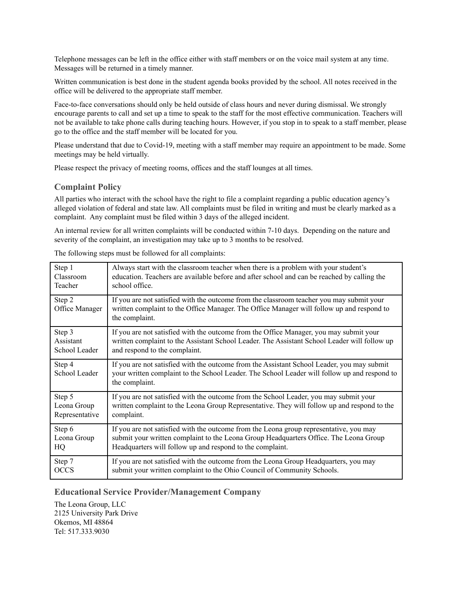Telephone messages can be left in the office either with staff members or on the voice mail system at any time. Messages will be returned in a timely manner.

Written communication is best done in the student agenda books provided by the school. All notes received in the office will be delivered to the appropriate staff member.

Face-to-face conversations should only be held outside of class hours and never during dismissal. We strongly encourage parents to call and set up a time to speak to the staff for the most effective communication. Teachers will not be available to take phone calls during teaching hours. However, if you stop in to speak to a staff member, please go to the office and the staff member will be located for you.

Please understand that due to Covid-19, meeting with a staff member may require an appointment to be made. Some meetings may be held virtually.

Please respect the privacy of meeting rooms, offices and the staff lounges at all times.

#### <span id="page-9-0"></span>**Complaint Policy**

All parties who interact with the school have the right to file a complaint regarding a public education agency's alleged violation of federal and state law. All complaints must be filed in writing and must be clearly marked as a complaint. Any complaint must be filed within 3 days of the alleged incident.

An internal review for all written complaints will be conducted within 7-10 days. Depending on the nature and severity of the complaint, an investigation may take up to 3 months to be resolved.

| Step 1                   | Always start with the classroom teacher when there is a problem with your student's                                                                                                                          |
|--------------------------|--------------------------------------------------------------------------------------------------------------------------------------------------------------------------------------------------------------|
| Classroom                | education. Teachers are available before and after school and can be reached by calling the                                                                                                                  |
| Teacher                  | school office.                                                                                                                                                                                               |
| Step 2<br>Office Manager | If you are not satisfied with the outcome from the classroom teacher you may submit your<br>written complaint to the Office Manager. The Office Manager will follow up and respond to<br>the complaint.      |
| Step 3                   | If you are not satisfied with the outcome from the Office Manager, you may submit your                                                                                                                       |
| Assistant                | written complaint to the Assistant School Leader. The Assistant School Leader will follow up                                                                                                                 |
| School Leader            | and respond to the complaint.                                                                                                                                                                                |
| Step 4<br>School Leader  | If you are not satisfied with the outcome from the Assistant School Leader, you may submit<br>your written complaint to the School Leader. The School Leader will follow up and respond to<br>the complaint. |
| Step 5                   | If you are not satisfied with the outcome from the School Leader, you may submit your                                                                                                                        |
| Leona Group              | written complaint to the Leona Group Representative. They will follow up and respond to the                                                                                                                  |
| Representative           | complaint.                                                                                                                                                                                                   |
| Step 6                   | If you are not satisfied with the outcome from the Leona group representative, you may                                                                                                                       |
| Leona Group              | submit your written complaint to the Leona Group Headquarters Office. The Leona Group                                                                                                                        |
| HQ                       | Headquarters will follow up and respond to the complaint.                                                                                                                                                    |
| Step 7                   | If you are not satisfied with the outcome from the Leona Group Headquarters, you may                                                                                                                         |
| <b>OCCS</b>              | submit your written complaint to the Ohio Council of Community Schools.                                                                                                                                      |

The following steps must be followed for all complaints:

#### <span id="page-9-1"></span>**Educational Service Provider/Management Company**

The Leona Group, LLC 2125 University Park Drive Okemos, MI 48864 Tel: 517.333.9030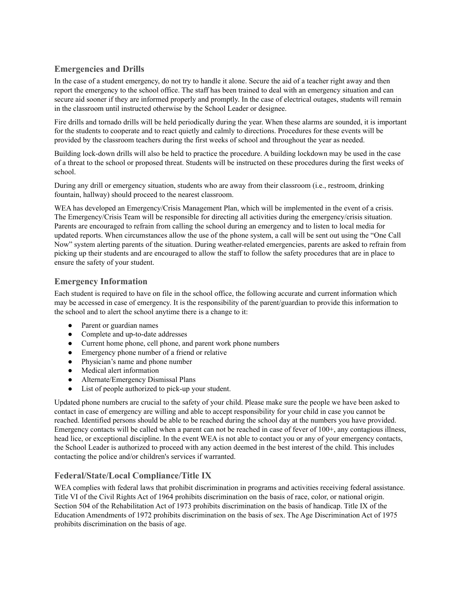## <span id="page-10-0"></span>**Emergencies and Drills**

In the case of a student emergency, do not try to handle it alone. Secure the aid of a teacher right away and then report the emergency to the school office. The staff has been trained to deal with an emergency situation and can secure aid sooner if they are informed properly and promptly. In the case of electrical outages, students will remain in the classroom until instructed otherwise by the School Leader or designee.

Fire drills and tornado drills will be held periodically during the year. When these alarms are sounded, it is important for the students to cooperate and to react quietly and calmly to directions. Procedures for these events will be provided by the classroom teachers during the first weeks of school and throughout the year as needed.

Building lock-down drills will also be held to practice the procedure. A building lockdown may be used in the case of a threat to the school or proposed threat. Students will be instructed on these procedures during the first weeks of school.

During any drill or emergency situation, students who are away from their classroom (i.e., restroom, drinking fountain, hallway) should proceed to the nearest classroom.

WEA has developed an Emergency/Crisis Management Plan, which will be implemented in the event of a crisis. The Emergency/Crisis Team will be responsible for directing all activities during the emergency/crisis situation. Parents are encouraged to refrain from calling the school during an emergency and to listen to local media for updated reports. When circumstances allow the use of the phone system, a call will be sent out using the "One Call Now" system alerting parents of the situation. During weather-related emergencies, parents are asked to refrain from picking up their students and are encouraged to allow the staff to follow the safety procedures that are in place to ensure the safety of your student.

## <span id="page-10-1"></span>**Emergency Information**

Each student is required to have on file in the school office, the following accurate and current information which may be accessed in case of emergency. It is the responsibility of the parent/guardian to provide this information to the school and to alert the school anytime there is a change to it:

- Parent or guardian names
- Complete and up-to-date addresses
- Current home phone, cell phone, and parent work phone numbers
- Emergency phone number of a friend or relative
- Physician's name and phone number
- Medical alert information
- Alternate/Emergency Dismissal Plans
- List of people authorized to pick-up your student.

Updated phone numbers are crucial to the safety of your child. Please make sure the people we have been asked to contact in case of emergency are willing and able to accept responsibility for your child in case you cannot be reached. Identified persons should be able to be reached during the school day at the numbers you have provided. Emergency contacts will be called when a parent can not be reached in case of fever of 100+, any contagious illness, head lice, or exceptional discipline. In the event WEA is not able to contact you or any of your emergency contacts, the School Leader is authorized to proceed with any action deemed in the best interest of the child. This includes contacting the police and/or children's services if warranted.

## <span id="page-10-2"></span>**Federal/State/Local Compliance/Title IX**

WEA complies with federal laws that prohibit discrimination in programs and activities receiving federal assistance. Title VI of the Civil Rights Act of 1964 prohibits discrimination on the basis of race, color, or national origin. Section 504 of the Rehabilitation Act of 1973 prohibits discrimination on the basis of handicap. Title IX of the Education Amendments of 1972 prohibits discrimination on the basis of sex. The Age Discrimination Act of 1975 prohibits discrimination on the basis of age.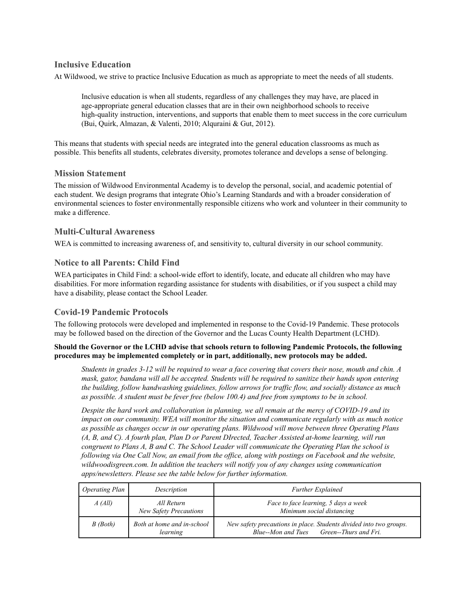## <span id="page-11-0"></span>**Inclusive Education**

At Wildwood, we strive to practice Inclusive Education as much as appropriate to meet the needs of all students.

Inclusive education is when all students, regardless of any challenges they may have, are placed in age-appropriate general education classes that are in their own neighborhood schools to receive high-quality instruction, interventions, and supports that enable them to meet success in the core curriculum (Bui, Quirk, Almazan, & Valenti, 2010; Alquraini & Gut, 2012).

This means that students with special needs are integrated into the general education classrooms as much as possible. This benefits all students, celebrates diversity, promotes tolerance and develops a sense of belonging.

#### <span id="page-11-1"></span>**Mission Statement**

The mission of Wildwood Environmental Academy is to develop the personal, social, and academic potential of each student. We design programs that integrate Ohio's Learning Standards and with a broader consideration of environmental sciences to foster environmentally responsible citizens who work and volunteer in their community to make a difference.

## <span id="page-11-2"></span>**Multi-Cultural Awareness**

WEA is committed to increasing awareness of, and sensitivity to, cultural diversity in our school community.

## <span id="page-11-3"></span>**Notice to all Parents: Child Find**

WEA participates in Child Find: a school-wide effort to identify, locate, and educate all children who may have disabilities. For more information regarding assistance for students with disabilities, or if you suspect a child may have a disability, please contact the School Leader.

#### <span id="page-11-4"></span>**Covid-19 Pandemic Protocols**

The following protocols were developed and implemented in response to the Covid-19 Pandemic. These protocols may be followed based on the direction of the Governor and the Lucas County Health Department (LCHD).

#### **Should the Governor or the LCHD advise that schools return to following Pandemic Protocols, the following procedures may be implemented completely or in part, additionally, new protocols may be added.**

Students in grades 3-12 will be required to wear a face covering that covers their nose, mouth and chin. A mask, gator, bandana will all be accepted. Students will be required to sanitize their hands upon entering *the building, follow handwashing guidelines, follow arrows for traf ic flow, and socially distance as much as possible. A student must be fever free (below 100.4) and free from symptoms to be in school.*

Despite the hard work and collaboration in planning, we all remain at the mercy of COVID-19 and its *impact on our community. WEA will monitor the situation and communicate regularly with as much notice as possible as changes occur in our operating plans. Wildwood will move between three Operating Plans* (A, B, and C). A fourth plan, Plan D or Parent DIrected, Teacher Assisted at-home learning, will run *congruent to Plans A, B and C. The School Leader will communicate the Operating Plan the school is* following via One Call Now, an email from the office, along with postings on Facebook and the website, *wildwoodisgreen.com. In addition the teachers will notify you of any changes using communication apps/newsletters. Please see the table below for further information.*

| Operating Plan | Description                                 | <b>Further Explained</b>                                                                                       |
|----------------|---------------------------------------------|----------------------------------------------------------------------------------------------------------------|
| A(All)         | All Return<br><b>New Safety Precautions</b> | Face to face learning, 5 days a week<br>Minimum social distancing                                              |
| $B$ (Both)     | Both at home and in-school<br>learning      | New safety precautions in place. Students divided into two groups.<br>Blue--Mon and Tues Green--Thurs and Fri. |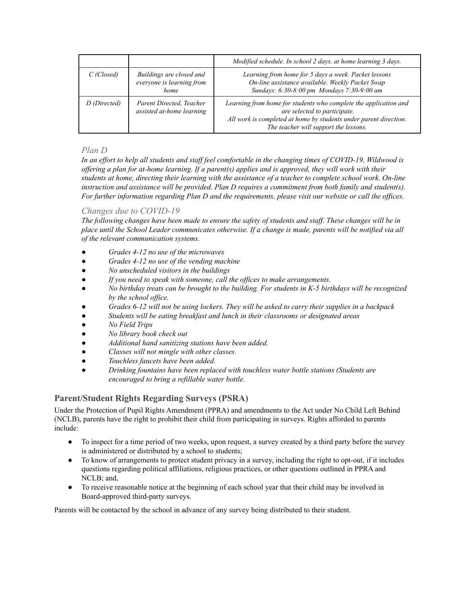|              |                                                               | Modified schedule. In school 2 days, at home learning 3 days.                                                                                                                                                  |
|--------------|---------------------------------------------------------------|----------------------------------------------------------------------------------------------------------------------------------------------------------------------------------------------------------------|
| $C$ (Closed) | Buildings are closed and<br>everyone is learning from<br>home | Learning from home for 5 days a week. Packet lessons<br>On-line assistance available. Weekly Packet Swap<br>Sundays: 6:30-8:00 pm Mondays 7:30-9:00 am                                                         |
| D (Directed) | Parent Directed, Teacher<br>assisted at-home learning         | Learning from home for students who complete the application and<br>are selected to participate.<br>All work is completed at home by students under parent direction.<br>The teacher will support the lessons. |

## *Plan D*

In an effort to help all students and staff feel comfortable in the changing times of COVID-19, Wildwood is offering a plan for at-home learning. If a parent(s) applies and is approved, they will work with their students at home, directing their learning with the assistance of a teacher to complete school work. On-line *instruction and assistance will be provided. Plan D requires a commitment from both family and student(s).* For further information regarding Plan D and the requirements, please visit our website or call the offices.

## *Changes due to COVID-19*

The following changes have been made to ensure the safety of students and staff. These changes will be in place until the School Leader communicates otherwise. If a change is made, parents will be notified via all *of the relevant communication systems.*

- *● Grades 4-12 no use of the microwaves*
- *● Grades 4-12 no use of the vending machine*
- *● No unscheduled visitors in the buildings*
- *● If you need to speak with someone, call the of ices to make arrangements.*
- No birthday treats can be brought to the building. For students in K-5 birthdays will be recognized *by the school of ice.*
- Grades 6-12 will not be using lockers. They will be asked to carry their supplies in a backpack
- *● Students will be eating breakfast and lunch in their classrooms or designated areas*
- *● No Field Trips*
- *● No library book check out*
- *● Additional hand sanitizing stations have been added.*
- *● Classes will not mingle with other classes.*
- *● Touchless faucets have been added.*
- *● Drinking fountains have been replaced with touchless water bottle stations (Students are encouraged to bring a refillable water bottle.*

## <span id="page-12-0"></span>**Parent/Student Rights Regarding Surveys (PSRA)**

Under the Protection of Pupil Rights Amendment (PPRA) and amendments to the Act under No Child Left Behind (NCLB), parents have the right to prohibit their child from participating in surveys. Rights afforded to parents include:

- To inspect for a time period of two weeks, upon request, a survey created by a third party before the survey is administered or distributed by a school to students;
- To know of arrangements to protect student privacy in a survey, including the right to opt-out, if it includes questions regarding political affiliations, religious practices, or other questions outlined in PPRA and NCLB; and,
- To receive reasonable notice at the beginning of each school year that their child may be involved in Board-approved third-party surveys.

Parents will be contacted by the school in advance of any survey being distributed to their student.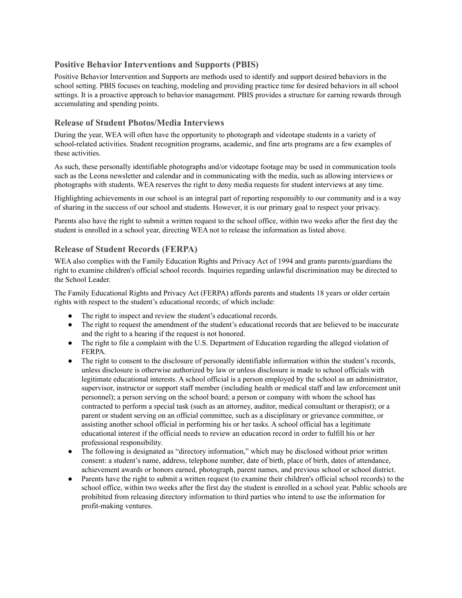## <span id="page-13-0"></span>**Positive Behavior Interventions and Supports (PBIS)**

Positive Behavior Intervention and Supports are methods used to identify and support desired behaviors in the school setting. PBIS focuses on teaching, modeling and providing practice time for desired behaviors in all school settings. It is a proactive approach to behavior management. PBIS provides a structure for earning rewards through accumulating and spending points.

#### <span id="page-13-1"></span>**Release of Student Photos/Media Interviews**

During the year, WEA will often have the opportunity to photograph and videotape students in a variety of school-related activities. Student recognition programs, academic, and fine arts programs are a few examples of these activities.

As such, these personally identifiable photographs and/or videotape footage may be used in communication tools such as the Leona newsletter and calendar and in communicating with the media, such as allowing interviews or photographs with students. WEA reserves the right to deny media requests for student interviews at any time.

Highlighting achievements in our school is an integral part of reporting responsibly to our community and is a way of sharing in the success of our school and students. However, it is our primary goal to respect your privacy.

Parents also have the right to submit a written request to the school office, within two weeks after the first day the student is enrolled in a school year, directing WEA not to release the information as listed above.

#### <span id="page-13-2"></span>**Release of Student Records (FERPA)**

WEA also complies with the Family Education Rights and Privacy Act of 1994 and grants parents/guardians the right to examine children's official school records. Inquiries regarding unlawful discrimination may be directed to the School Leader.

The Family Educational Rights and Privacy Act (FERPA) affords parents and students 18 years or older certain rights with respect to the student's educational records; of which include:

- The right to inspect and review the student's educational records.
- The right to request the amendment of the student's educational records that are believed to be inaccurate and the right to a hearing if the request is not honored.
- The right to file a complaint with the U.S. Department of Education regarding the alleged violation of FERPA.
- The right to consent to the disclosure of personally identifiable information within the student's records, unless disclosure is otherwise authorized by law or unless disclosure is made to school officials with legitimate educational interests. A school official is a person employed by the school as an administrator, supervisor, instructor or support staff member (including health or medical staff and law enforcement unit personnel); a person serving on the school board; a person or company with whom the school has contracted to perform a special task (such as an attorney, auditor, medical consultant or therapist); or a parent or student serving on an official committee, such as a disciplinary or grievance committee, or assisting another school official in performing his or her tasks. A school official has a legitimate educational interest if the official needs to review an education record in order to fulfill his or her professional responsibility.
- The following is designated as "directory information," which may be disclosed without prior written consent: a student's name, address, telephone number, date of birth, place of birth, dates of attendance, achievement awards or honors earned, photograph, parent names, and previous school or school district.
- Parents have the right to submit a written request (to examine their children's official school records) to the school office, within two weeks after the first day the student is enrolled in a school year. Public schools are prohibited from releasing directory information to third parties who intend to use the information for profit-making ventures.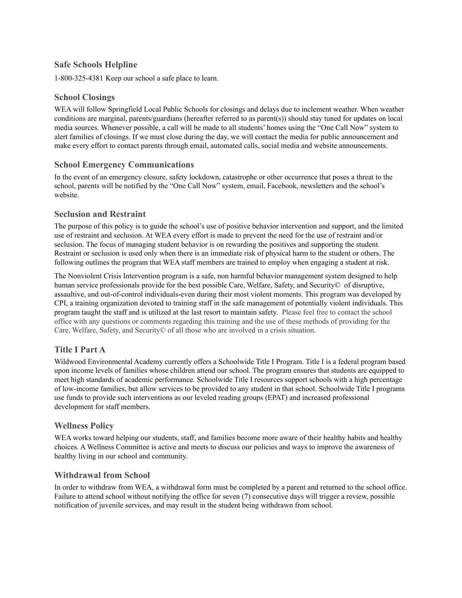## <span id="page-14-0"></span>**Safe Schools Helpline**

1-800-325-4381 Keep our school a safe place to learn.

## <span id="page-14-1"></span>**School Closings**

WEA will follow Springfield Local Public Schools for closings and delays due to inclement weather. When weather conditions are marginal, parents/guardians (hereafter referred to as parent(s)) should stay tuned for updates on local media sources. Whenever possible, a call will be made to all students' homes using the "One Call Now" system to alert families of closings. If we must close during the day, we will contact the media for public announcement and make every effort to contact parents through email, automated calls, social media and website announcements.

## <span id="page-14-2"></span>**School Emergency Communications**

In the event of an emergency closure, safety lockdown, catastrophe or other occurrence that poses a threat to the school, parents will be notified by the "One Call Now" system, email, Facebook, newsletters and the school's website.

## <span id="page-14-3"></span>**Seclusion and Restraint**

The purpose of this policy is to guide the school's use of positive behavior intervention and support, and the limited use of restraint and seclusion. At WEA every effort is made to prevent the need for the use of restraint and/or seclusion. The focus of managing student behavior is on rewarding the positives and supporting the student. Restraint or seclusion is used only when there is an immediate risk of physical harm to the student or others. The following outlines the program that WEA staff members are trained to employ when engaging a student at risk.

The Nonviolent Crisis Intervention program is a safe, non harmful behavior management system designed to help human service professionals provide for the best possible Care, Welfare, Safety, and Security© of disruptive, assaultive, and out-of-control individuals-even during their most violent moments. This program was developed by CPI, a training organization devoted to training staff in the safe management of potentially violent individuals. This program taught the staff and is utilized at the last resort to maintain safety. Please feel free to contact the school office with any questions or comments regarding this training and the use of these methods of providing for the Care, Welfare, Safety, and Security© of all those who are involved in a crisis situation.

## <span id="page-14-4"></span>**Title I Part A**

Wildwood Environmental Academy currently offers a Schoolwide Title I Program. Title I is a federal program based upon income levels of families whose children attend our school. The program ensures that students are equipped to meet high standards of academic performance. Schoolwide Title I resources support schools with a high percentage of low-income families, but allow services to be provided to any student in that school. Schoolwide Title I programs use funds to provide such interventions as our leveled reading groups (EPAT) and increased professional development for staff members.

#### <span id="page-14-5"></span>**Wellness Policy**

WEA works toward helping our students, staff, and families become more aware of their healthy habits and healthy choices. A Wellness Committee is active and meets to discuss our policies and ways to improve the awareness of healthy living in our school and community.

#### <span id="page-14-6"></span>**Withdrawal from School**

In order to withdraw from WEA, a withdrawal form must be completed by a parent and returned to the school office. Failure to attend school without notifying the office for seven (7) consecutive days will trigger a review, possible notification of juvenile services, and may result in the student being withdrawn from school.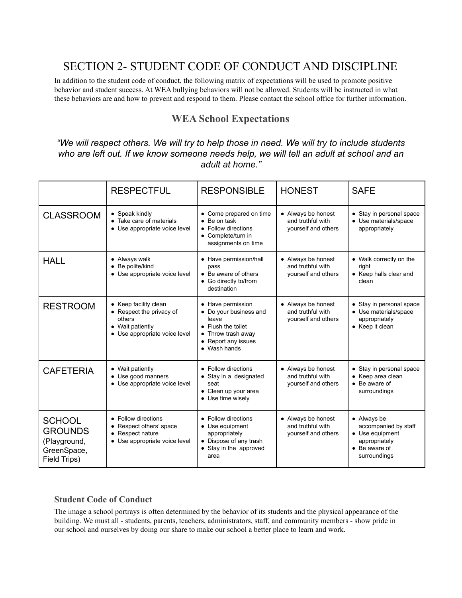# <span id="page-15-0"></span>SECTION 2- STUDENT CODE OF CONDUCT AND DISCIPLINE

In addition to the student code of conduct, the following matrix of expectations will be used to promote positive behavior and student success. At WEA bullying behaviors will not be allowed. Students will be instructed in what these behaviors are and how to prevent and respond to them. Please contact the school office for further information.

# **WEA School Expectations**

<span id="page-15-1"></span>*"We will respect others. We will try to help those in need. We will try to include students who are left out. If we know someone needs help, we will tell an adult at school and an adult at home."*

|                                                                                | <b>RESPECTFUL</b>                                                                                                | <b>RESPONSIBLE</b>                                                                                                                    | <b>HONEST</b>                                                  | <b>SAFE</b>                                                                                                      |
|--------------------------------------------------------------------------------|------------------------------------------------------------------------------------------------------------------|---------------------------------------------------------------------------------------------------------------------------------------|----------------------------------------------------------------|------------------------------------------------------------------------------------------------------------------|
| <b>CLASSROOM</b>                                                               | • Speak kindly<br>• Take care of materials<br>• Use appropriate voice level                                      | • Come prepared on time<br>Be on task<br>$\bullet$<br>Follow directions<br>$\bullet$<br>• Complete/turn in<br>assignments on time     | • Always be honest<br>and truthful with<br>yourself and others | • Stay in personal space<br>• Use materials/space<br>appropriately                                               |
| <b>HALL</b>                                                                    | • Always walk<br>• Be polite/kind<br>• Use appropriate voice level                                               | • Have permission/hall<br>pass<br>• Be aware of others<br>• Go directly to/from<br>destination                                        | • Always be honest<br>and truthful with<br>yourself and others | • Walk correctly on the<br>right<br>• Keep halls clear and<br>clean                                              |
| <b>RESTROOM</b>                                                                | • Keep facility clean<br>• Respect the privacy of<br>others<br>• Wait patiently<br>• Use appropriate voice level | • Have permission<br>• Do your business and<br>leave<br>• Flush the toilet<br>Throw trash away<br>• Report any issues<br>• Wash hands | • Always be honest<br>and truthful with<br>yourself and others | • Stay in personal space<br>• Use materials/space<br>appropriately<br>• Keep it clean                            |
| <b>CAFETERIA</b>                                                               | • Wait patiently<br>• Use good manners<br>• Use appropriate voice level                                          | • Follow directions<br>• Stay in a designated<br>seat<br>• Clean up your area<br>• Use time wisely                                    | • Always be honest<br>and truthful with<br>yourself and others | • Stay in personal space<br>• Keep area clean<br>• Be aware of<br>surroundings                                   |
| <b>SCHOOL</b><br><b>GROUNDS</b><br>(Playground,<br>GreenSpace,<br>Field Trips) | • Follow directions<br>• Respect others' space<br>• Respect nature<br>• Use appropriate voice level              | • Follow directions<br>• Use equipment<br>appropriately<br>• Dispose of any trash<br>• Stay in the approved<br>area                   | • Always be honest<br>and truthful with<br>yourself and others | • Always be<br>accompanied by staff<br>• Use equipment<br>appropriately<br>$\bullet$ Be aware of<br>surroundings |

## <span id="page-15-2"></span>**Student Code of Conduct**

The image a school portrays is often determined by the behavior of its students and the physical appearance of the building. We must all - students, parents, teachers, administrators, staff, and community members - show pride in our school and ourselves by doing our share to make our school a better place to learn and work.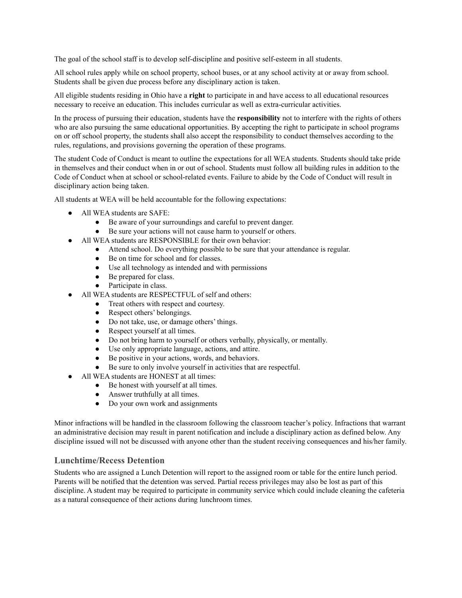The goal of the school staff is to develop self-discipline and positive self-esteem in all students.

All school rules apply while on school property, school buses, or at any school activity at or away from school. Students shall be given due process before any disciplinary action is taken.

All eligible students residing in Ohio have a **right** to participate in and have access to all educational resources necessary to receive an education. This includes curricular as well as extra-curricular activities.

In the process of pursuing their education, students have the **responsibility** not to interfere with the rights of others who are also pursuing the same educational opportunities. By accepting the right to participate in school programs on or off school property, the students shall also accept the responsibility to conduct themselves according to the rules, regulations, and provisions governing the operation of these programs.

The student Code of Conduct is meant to outline the expectations for all WEA students. Students should take pride in themselves and their conduct when in or out of school. Students must follow all building rules in addition to the Code of Conduct when at school or school-related events. Failure to abide by the Code of Conduct will result in disciplinary action being taken.

All students at WEA will be held accountable for the following expectations:

- All WEA students are SAFE:
	- Be aware of your surroundings and careful to prevent danger.
	- Be sure your actions will not cause harm to yourself or others.
- All WEA students are RESPONSIBLE for their own behavior:
	- Attend school. Do everything possible to be sure that your attendance is regular.
	- Be on time for school and for classes.
	- Use all technology as intended and with permissions
	- Be prepared for class.
	- Participate in class.
- All WEA students are RESPECTFUL of self and others:
	- Treat others with respect and courtesy.
	- Respect others' belongings.
	- Do not take, use, or damage others' things.
	- Respect yourself at all times.
	- Do not bring harm to yourself or others verbally, physically, or mentally.
	- Use only appropriate language, actions, and attire.
	- Be positive in your actions, words, and behaviors.
	- Be sure to only involve yourself in activities that are respectful.
- All WEA students are HONEST at all times:
	- Be honest with yourself at all times.
	- Answer truthfully at all times.
	- Do your own work and assignments

Minor infractions will be handled in the classroom following the classroom teacher's policy. Infractions that warrant an administrative decision may result in parent notification and include a disciplinary action as defined below. Any discipline issued will not be discussed with anyone other than the student receiving consequences and his/her family.

#### <span id="page-16-0"></span>**Lunchtime/Recess Detention**

Students who are assigned a Lunch Detention will report to the assigned room or table for the entire lunch period. Parents will be notified that the detention was served. Partial recess privileges may also be lost as part of this discipline. A student may be required to participate in community service which could include cleaning the cafeteria as a natural consequence of their actions during lunchroom times.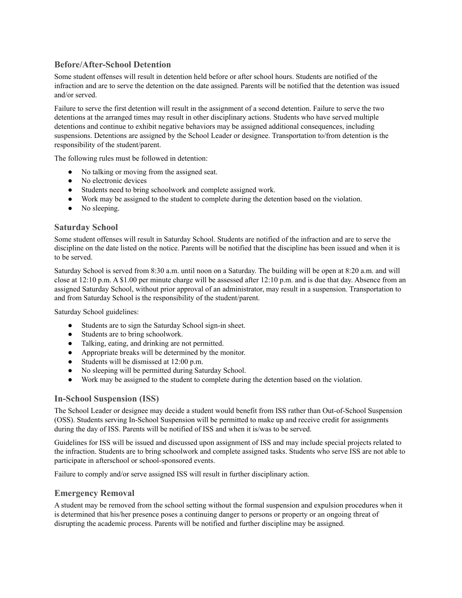## <span id="page-17-0"></span>**Before/After-School Detention**

Some student offenses will result in detention held before or after school hours. Students are notified of the infraction and are to serve the detention on the date assigned. Parents will be notified that the detention was issued and/or served.

Failure to serve the first detention will result in the assignment of a second detention. Failure to serve the two detentions at the arranged times may result in other disciplinary actions. Students who have served multiple detentions and continue to exhibit negative behaviors may be assigned additional consequences, including suspensions. Detentions are assigned by the School Leader or designee. Transportation to/from detention is the responsibility of the student/parent.

The following rules must be followed in detention:

- No talking or moving from the assigned seat.
- No electronic devices
- Students need to bring schoolwork and complete assigned work.
- Work may be assigned to the student to complete during the detention based on the violation.
- No sleeping.

#### <span id="page-17-1"></span>**Saturday School**

Some student offenses will result in Saturday School. Students are notified of the infraction and are to serve the discipline on the date listed on the notice. Parents will be notified that the discipline has been issued and when it is to be served.

Saturday School is served from 8:30 a.m. until noon on a Saturday. The building will be open at 8:20 a.m. and will close at 12:10 p.m. A \$1.00 per minute charge will be assessed after 12:10 p.m. and is due that day. Absence from an assigned Saturday School, without prior approval of an administrator, may result in a suspension. Transportation to and from Saturday School is the responsibility of the student/parent.

Saturday School guidelines:

- Students are to sign the Saturday School sign-in sheet.
- Students are to bring schoolwork.
- Talking, eating, and drinking are not permitted.
- Appropriate breaks will be determined by the monitor.
- Students will be dismissed at 12:00 p.m.
- No sleeping will be permitted during Saturday School.
- Work may be assigned to the student to complete during the detention based on the violation.

#### <span id="page-17-2"></span>**In-School Suspension (ISS)**

The School Leader or designee may decide a student would benefit from ISS rather than Out-of-School Suspension (OSS). Students serving In-School Suspension will be permitted to make up and receive credit for assignments during the day of ISS. Parents will be notified of ISS and when it is/was to be served.

Guidelines for ISS will be issued and discussed upon assignment of ISS and may include special projects related to the infraction. Students are to bring schoolwork and complete assigned tasks. Students who serve ISS are not able to participate in afterschool or school-sponsored events.

Failure to comply and/or serve assigned ISS will result in further disciplinary action.

#### <span id="page-17-3"></span>**Emergency Removal**

A student may be removed from the school setting without the formal suspension and expulsion procedures when it is determined that his/her presence poses a continuing danger to persons or property or an ongoing threat of disrupting the academic process. Parents will be notified and further discipline may be assigned.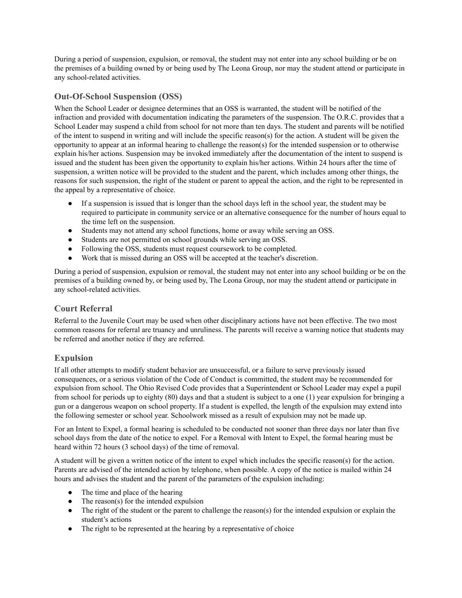During a period of suspension, expulsion, or removal, the student may not enter into any school building or be on the premises of a building owned by or being used by The Leona Group, nor may the student attend or participate in any school-related activities.

## <span id="page-18-0"></span>**Out-Of-School Suspension (OSS)**

When the School Leader or designee determines that an OSS is warranted, the student will be notified of the infraction and provided with documentation indicating the parameters of the suspension. The O.R.C. provides that a School Leader may suspend a child from school for not more than ten days. The student and parents will be notified of the intent to suspend in writing and will include the specific reason(s) for the action. A student will be given the opportunity to appear at an informal hearing to challenge the reason(s) for the intended suspension or to otherwise explain his/her actions. Suspension may be invoked immediately after the documentation of the intent to suspend is issued and the student has been given the opportunity to explain his/her actions. Within 24 hours after the time of suspension, a written notice will be provided to the student and the parent, which includes among other things, the reasons for such suspension, the right of the student or parent to appeal the action, and the right to be represented in the appeal by a representative of choice.

- If a suspension is issued that is longer than the school days left in the school year, the student may be required to participate in community service or an alternative consequence for the number of hours equal to the time left on the suspension.
- Students may not attend any school functions, home or away while serving an OSS.
- Students are not permitted on school grounds while serving an OSS.
- Following the OSS, students must request coursework to be completed.
- Work that is missed during an OSS will be accepted at the teacher's discretion.

During a period of suspension, expulsion or removal, the student may not enter into any school building or be on the premises of a building owned by, or being used by, The Leona Group, nor may the student attend or participate in any school-related activities.

## <span id="page-18-1"></span>**Court Referral**

Referral to the Juvenile Court may be used when other disciplinary actions have not been effective. The two most common reasons for referral are truancy and unruliness. The parents will receive a warning notice that students may be referred and another notice if they are referred.

# <span id="page-18-2"></span>**Expulsion**

If all other attempts to modify student behavior are unsuccessful, or a failure to serve previously issued consequences, or a serious violation of the Code of Conduct is committed, the student may be recommended for expulsion from school. The Ohio Revised Code provides that a Superintendent or School Leader may expel a pupil from school for periods up to eighty (80) days and that a student is subject to a one (1) year expulsion for bringing a gun or a dangerous weapon on school property. If a student is expelled, the length of the expulsion may extend into the following semester or school year. Schoolwork missed as a result of expulsion may not be made up.

For an Intent to Expel, a formal hearing is scheduled to be conducted not sooner than three days nor later than five school days from the date of the notice to expel. For a Removal with Intent to Expel, the formal hearing must be heard within 72 hours (3 school days) of the time of removal.

A student will be given a written notice of the intent to expel which includes the specific reason(s) for the action. Parents are advised of the intended action by telephone, when possible. A copy of the notice is mailed within 24 hours and advises the student and the parent of the parameters of the expulsion including:

- The time and place of the hearing
- The reason(s) for the intended expulsion
- The right of the student or the parent to challenge the reason(s) for the intended expulsion or explain the student's actions
- The right to be represented at the hearing by a representative of choice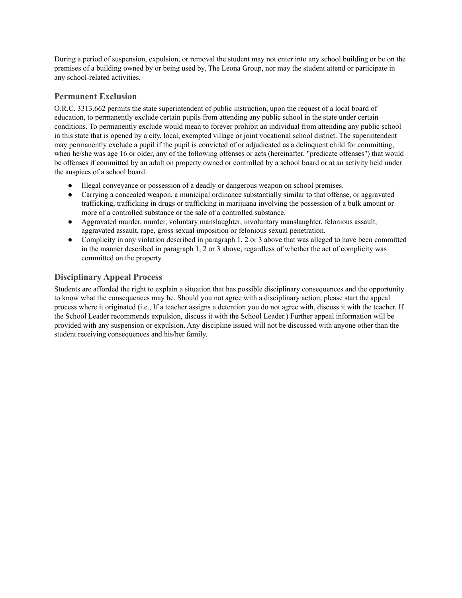During a period of suspension, expulsion, or removal the student may not enter into any school building or be on the premises of a building owned by or being used by, The Leona Group, nor may the student attend or participate in any school-related activities.

## <span id="page-19-0"></span>**Permanent Exclusion**

O.R.C. 3313.662 permits the state superintendent of public instruction, upon the request of a local board of education, to permanently exclude certain pupils from attending any public school in the state under certain conditions. To permanently exclude would mean to forever prohibit an individual from attending any public school in this state that is opened by a city, local, exempted village or joint vocational school district. The superintendent may permanently exclude a pupil if the pupil is convicted of or adjudicated as a delinquent child for committing, when he/she was age 16 or older, any of the following offenses or acts (hereinafter, "predicate offenses") that would be offenses if committed by an adult on property owned or controlled by a school board or at an activity held under the auspices of a school board:

- Illegal conveyance or possession of a deadly or dangerous weapon on school premises.
- Carrying a concealed weapon, a municipal ordinance substantially similar to that offense, or aggravated trafficking, trafficking in drugs or trafficking in marijuana involving the possession of a bulk amount or more of a controlled substance or the sale of a controlled substance.
- Aggravated murder, murder, voluntary manslaughter, involuntary manslaughter, felonious assault, aggravated assault, rape, gross sexual imposition or felonious sexual penetration.
- Complicity in any violation described in paragraph 1, 2 or 3 above that was alleged to have been committed in the manner described in paragraph 1, 2 or 3 above, regardless of whether the act of complicity was committed on the property.

# <span id="page-19-1"></span>**Disciplinary Appeal Process**

Students are afforded the right to explain a situation that has possible disciplinary consequences and the opportunity to know what the consequences may be. Should you not agree with a disciplinary action, please start the appeal process where it originated (i.e., If a teacher assigns a detention you do not agree with, discuss it with the teacher. If the School Leader recommends expulsion, discuss it with the School Leader.) Further appeal information will be provided with any suspension or expulsion. Any discipline issued will not be discussed with anyone other than the student receiving consequences and his/her family.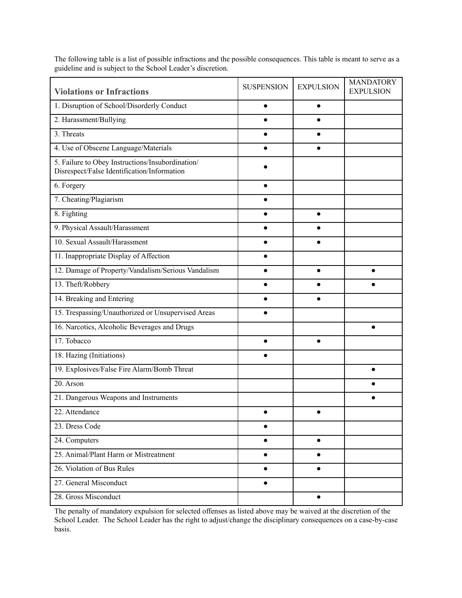<span id="page-20-0"></span>

| <b>Violations or Infractions</b>                                                                | <b>SUSPENSION</b> | <b>EXPULSION</b> | <b>MANDATORY</b><br><b>EXPULSION</b> |
|-------------------------------------------------------------------------------------------------|-------------------|------------------|--------------------------------------|
| 1. Disruption of School/Disorderly Conduct                                                      | $\bullet$         | $\bullet$        |                                      |
| 2. Harassment/Bullying                                                                          |                   |                  |                                      |
| 3. Threats                                                                                      |                   |                  |                                      |
| 4. Use of Obscene Language/Materials                                                            |                   |                  |                                      |
| 5. Failure to Obey Instructions/Insubordination/<br>Disrespect/False Identification/Information |                   |                  |                                      |
| 6. Forgery                                                                                      |                   |                  |                                      |
| 7. Cheating/Plagiarism                                                                          |                   |                  |                                      |
| 8. Fighting                                                                                     | $\bullet$         | $\bullet$        |                                      |
| 9. Physical Assault/Harassment                                                                  |                   |                  |                                      |
| 10. Sexual Assault/Harassment                                                                   |                   |                  |                                      |
| 11. Inappropriate Display of Affection                                                          |                   |                  |                                      |
| 12. Damage of Property/Vandalism/Serious Vandalism                                              |                   | $\bullet$        | ∙                                    |
| 13. Theft/Robbery                                                                               |                   |                  |                                      |
| 14. Breaking and Entering                                                                       |                   |                  |                                      |
| 15. Trespassing/Unauthorized or Unsupervised Areas                                              |                   |                  |                                      |
| 16. Narcotics, Alcoholic Beverages and Drugs                                                    |                   |                  | $\bullet$                            |
| 17. Tobacco                                                                                     |                   |                  |                                      |
| 18. Hazing (Initiations)                                                                        |                   |                  |                                      |
| 19. Explosives/False Fire Alarm/Bomb Threat                                                     |                   |                  |                                      |
| 20. Arson                                                                                       |                   |                  |                                      |
| 21. Dangerous Weapons and Instruments                                                           |                   |                  |                                      |
| 22. Attendance                                                                                  | $\bullet$         | $\bullet$        |                                      |
| 23. Dress Code                                                                                  | $\bullet$         |                  |                                      |
| 24. Computers                                                                                   | $\bullet$         | $\bullet$        |                                      |
| 25. Animal/Plant Harm or Mistreatment                                                           | $\bullet$         | $\bullet$        |                                      |
| 26. Violation of Bus Rules                                                                      |                   |                  |                                      |
| 27. General Misconduct                                                                          |                   |                  |                                      |
| 28. Gross Misconduct                                                                            |                   | $\bullet$        |                                      |

The following table is a list of possible infractions and the possible consequences. This table is meant to serve as a guideline and is subject to the School Leader's discretion.

The penalty of mandatory expulsion for selected offenses as listed above may be waived at the discretion of the School Leader. The School Leader has the right to adjust/change the disciplinary consequences on a case-by-case basis.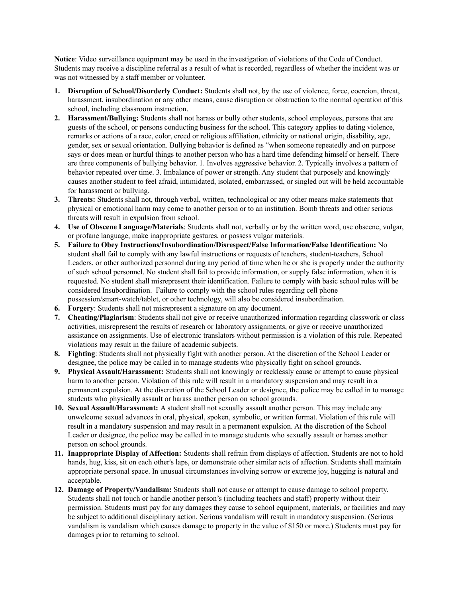**Notice**: Video surveillance equipment may be used in the investigation of violations of the Code of Conduct. Students may receive a discipline referral as a result of what is recorded, regardless of whether the incident was or was not witnessed by a staff member or volunteer.

- **1. Disruption of School/Disorderly Conduct:** Students shall not, by the use of violence, force, coercion, threat, harassment, insubordination or any other means, cause disruption or obstruction to the normal operation of this school, including classroom instruction.
- **2. Harassment/Bullying:** Students shall not harass or bully other students, school employees, persons that are guests of the school, or persons conducting business for the school. This category applies to dating violence, remarks or actions of a race, color, creed or religious affiliation, ethnicity or national origin, disability, age, gender, sex or sexual orientation. Bullying behavior is defined as "when someone repeatedly and on purpose says or does mean or hurtful things to another person who has a hard time defending himself or herself. There are three components of bullying behavior. 1. Involves aggressive behavior. 2. Typically involves a pattern of behavior repeated over time. 3. Imbalance of power or strength. Any student that purposely and knowingly causes another student to feel afraid, intimidated, isolated, embarrassed, or singled out will be held accountable for harassment or bullying.
- **3. Threats:** Students shall not, through verbal, written, technological or any other means make statements that physical or emotional harm may come to another person or to an institution. Bomb threats and other serious threats will result in expulsion from school.
- **4. Use of Obscene Language/Materials**: Students shall not, verbally or by the written word, use obscene, vulgar, or profane language, make inappropriate gestures, or possess vulgar materials.
- **5. Failure to Obey Instructions/Insubordination/Disrespect/False Information/False Identification:** No student shall fail to comply with any lawful instructions or requests of teachers, student-teachers, School Leaders, or other authorized personnel during any period of time when he or she is properly under the authority of such school personnel. No student shall fail to provide information, or supply false information, when it is requested. No student shall misrepresent their identification. Failure to comply with basic school rules will be considered Insubordination. Failure to comply with the school rules regarding cell phone possession/smart-watch/tablet, or other technology, will also be considered insubordination.
- **6. Forgery**: Students shall not misrepresent a signature on any document.
- **7. Cheating/Plagiarism**: Students shall not give or receive unauthorized information regarding classwork or class activities, misrepresent the results of research or laboratory assignments, or give or receive unauthorized assistance on assignments. Use of electronic translators without permission is a violation of this rule. Repeated violations may result in the failure of academic subjects.
- **8. Fighting**: Students shall not physically fight with another person. At the discretion of the School Leader or designee, the police may be called in to manage students who physically fight on school grounds.
- **9. Physical Assault/Harassment:** Students shall not knowingly or recklessly cause or attempt to cause physical harm to another person. Violation of this rule will result in a mandatory suspension and may result in a permanent expulsion. At the discretion of the School Leader or designee, the police may be called in to manage students who physically assault or harass another person on school grounds.
- **10. Sexual Assault/Harassment:** A student shall not sexually assault another person. This may include any unwelcome sexual advances in oral, physical, spoken, symbolic, or written format. Violation of this rule will result in a mandatory suspension and may result in a permanent expulsion. At the discretion of the School Leader or designee, the police may be called in to manage students who sexually assault or harass another person on school grounds.
- **11. Inappropriate Display of Affection:** Students shall refrain from displays of affection. Students are not to hold hands, hug, kiss, sit on each other's laps, or demonstrate other similar acts of affection. Students shall maintain appropriate personal space. In unusual circumstances involving sorrow or extreme joy, hugging is natural and acceptable.
- **12. Damage of Property/Vandalism:** Students shall not cause or attempt to cause damage to school property. Students shall not touch or handle another person's (including teachers and staff) property without their permission. Students must pay for any damages they cause to school equipment, materials, or facilities and may be subject to additional disciplinary action. Serious vandalism will result in mandatory suspension. (Serious vandalism is vandalism which causes damage to property in the value of \$150 or more.) Students must pay for damages prior to returning to school.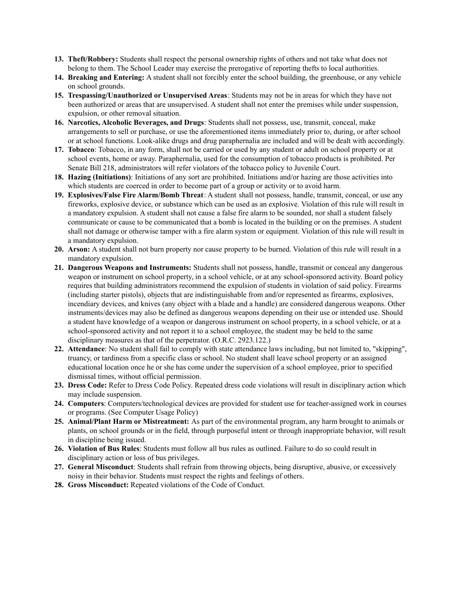- **13. Theft/Robbery:** Students shall respect the personal ownership rights of others and not take what does not belong to them. The School Leader may exercise the prerogative of reporting thefts to local authorities.
- **14. Breaking and Entering:** A student shall not forcibly enter the school building, the greenhouse, or any vehicle on school grounds.
- **15. Trespassing/Unauthorized or Unsupervised Areas**: Students may not be in areas for which they have not been authorized or areas that are unsupervised. A student shall not enter the premises while under suspension, expulsion, or other removal situation.
- **16. Narcotics, Alcoholic Beverages, and Drugs**: Students shall not possess, use, transmit, conceal, make arrangements to sell or purchase, or use the aforementioned items immediately prior to, during, or after school or at school functions. Look-alike drugs and drug paraphernalia are included and will be dealt with accordingly.
- **17. Tobacco**: Tobacco, in any form, shall not be carried or used by any student or adult on school property or at school events, home or away. Paraphernalia, used for the consumption of tobacco products is prohibited. Per Senate Bill 218, administrators will refer violators of the tobacco policy to Juvenile Court.
- **18. Hazing (Initiations)**: Initiations of any sort are prohibited. Initiations and/or hazing are those activities into which students are coerced in order to become part of a group or activity or to avoid harm.
- **19. Explosives/False Fire Alarm/Bomb Threat**: A student shall not possess, handle, transmit, conceal, or use any fireworks, explosive device, or substance which can be used as an explosive. Violation of this rule will result in a mandatory expulsion. A student shall not cause a false fire alarm to be sounded, nor shall a student falsely communicate or cause to be communicated that a bomb is located in the building or on the premises. A student shall not damage or otherwise tamper with a fire alarm system or equipment. Violation of this rule will result in a mandatory expulsion.
- **20. Arson:** A student shall not burn property nor cause property to be burned. Violation of this rule will result in a mandatory expulsion.
- **21. Dangerous Weapons and Instruments:** Students shall not possess, handle, transmit or conceal any dangerous weapon or instrument on school property, in a school vehicle, or at any school-sponsored activity. Board policy requires that building administrators recommend the expulsion of students in violation of said policy. Firearms (including starter pistols), objects that are indistinguishable from and/or represented as firearms, explosives, incendiary devices, and knives (any object with a blade and a handle) are considered dangerous weapons. Other instruments/devices may also be defined as dangerous weapons depending on their use or intended use. Should a student have knowledge of a weapon or dangerous instrument on school property, in a school vehicle, or at a school-sponsored activity and not report it to a school employee, the student may be held to the same disciplinary measures as that of the perpetrator. (O.R.C. 2923.122.)
- **22. Attendance**: No student shall fail to comply with state attendance laws including, but not limited to, "skipping", truancy, or tardiness from a specific class or school. No student shall leave school property or an assigned educational location once he or she has come under the supervision of a school employee, prior to specified dismissal times, without official permission.
- **23. Dress Code:** Refer to Dress Code Policy. Repeated dress code violations will result in disciplinary action which may include suspension.
- **24. Computers**: Computers/technological devices are provided for student use for teacher-assigned work in courses or programs. (See Computer Usage Policy)
- **25. Animal/Plant Harm or Mistreatment:** As part of the environmental program, any harm brought to animals or plants, on school grounds or in the field, through purposeful intent or through inappropriate behavior, will result in discipline being issued.
- **26. Violation of Bus Rules**: Students must follow all bus rules as outlined. Failure to do so could result in disciplinary action or loss of bus privileges.
- **27. General Misconduct**: Students shall refrain from throwing objects, being disruptive, abusive, or excessively noisy in their behavior. Students must respect the rights and feelings of others.
- **28. Gross Misconduct:** Repeated violations of the Code of Conduct.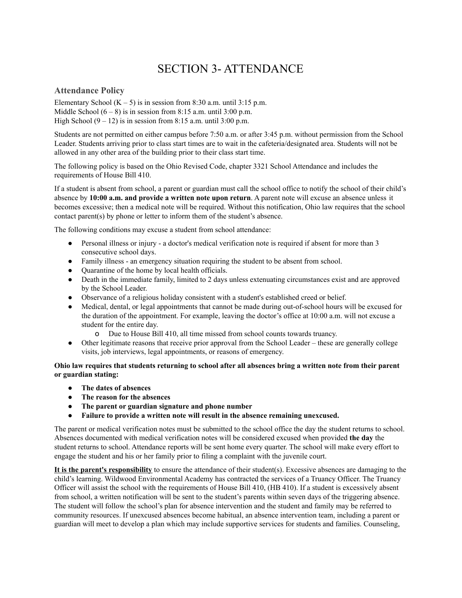# SECTION 3- ATTENDANCE

#### <span id="page-23-1"></span><span id="page-23-0"></span>**Attendance Policy**

Elementary School  $(K - 5)$  is in session from 8:30 a.m. until 3:15 p.m. Middle School  $(6 - 8)$  is in session from 8:15 a.m. until 3:00 p.m. High School  $(9 - 12)$  is in session from 8:15 a.m. until 3:00 p.m.

Students are not permitted on either campus before 7:50 a.m. or after 3:45 p.m. without permission from the School Leader. Students arriving prior to class start times are to wait in the cafeteria/designated area. Students will not be allowed in any other area of the building prior to their class start time.

The following policy is based on the Ohio Revised Code, chapter 3321 School Attendance and includes the requirements of House Bill 410.

If a student is absent from school, a parent or guardian must call the school office to notify the school of their child's absence by **10:00 a.m. and provide a written note upon return**. A parent note will excuse an absence unless it becomes excessive; then a medical note will be required. Without this notification, Ohio law requires that the school contact parent(s) by phone or letter to inform them of the student's absence.

The following conditions may excuse a student from school attendance:

- Personal illness or injury a doctor's medical verification note is required if absent for more than 3 consecutive school days.
- Family illness an emergency situation requiring the student to be absent from school.
- Quarantine of the home by local health officials.
- Death in the immediate family, limited to 2 days unless extenuating circumstances exist and are approved by the School Leader.
- Observance of a religious holiday consistent with a student's established creed or belief.
- Medical, dental, or legal appointments that cannot be made during out-of-school hours will be excused for the duration of the appointment. For example, leaving the doctor's office at 10:00 a.m. will not excuse a student for the entire day.
	- o Due to House Bill 410, all time missed from school counts towards truancy.
- Other legitimate reasons that receive prior approval from the School Leader these are generally college visits, job interviews, legal appointments, or reasons of emergency.

Ohio law requires that students returning to school after all absences bring a written note from their parent **or guardian stating:**

- **● The dates of absences**
- **● The reason for the absences**
- **● The parent or guardian signature and phone number**
- **● Failure to provide a written note will result in the absence remaining unexcused.**

The parent or medical verification notes must be submitted to the school office the day the student returns to school. Absences documented with medical verification notes will be considered excused when provided **the day** the student returns to school. Attendance reports will be sent home every quarter. The school will make every effort to engage the student and his or her family prior to filing a complaint with the juvenile court.

**It is the parent's responsibility** to ensure the attendance of their student(s). Excessive absences are damaging to the child's learning. Wildwood Environmental Academy has contracted the services of a Truancy Officer. The Truancy Officer will assist the school with the requirements of House Bill 410, (HB 410). If a student is excessively absent from school, a written notification will be sent to the student's parents within seven days of the triggering absence. The student will follow the school's plan for absence intervention and the student and family may be referred to community resources. If unexcused absences become habitual, an absence intervention team, including a parent or guardian will meet to develop a plan which may include supportive services for students and families. Counseling,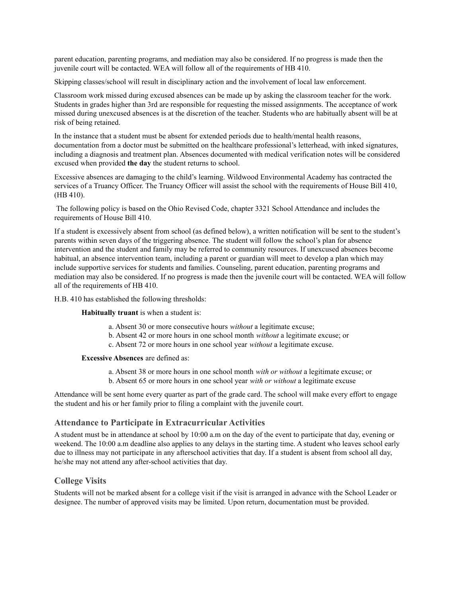parent education, parenting programs, and mediation may also be considered. If no progress is made then the juvenile court will be contacted. WEA will follow all of the requirements of HB 410.

Skipping classes/school will result in disciplinary action and the involvement of local law enforcement.

Classroom work missed during excused absences can be made up by asking the classroom teacher for the work. Students in grades higher than 3rd are responsible for requesting the missed assignments. The acceptance of work missed during unexcused absences is at the discretion of the teacher. Students who are habitually absent will be at risk of being retained.

In the instance that a student must be absent for extended periods due to health/mental health reasons, documentation from a doctor must be submitted on the healthcare professional's letterhead, with inked signatures, including a diagnosis and treatment plan. Absences documented with medical verification notes will be considered excused when provided **the day** the student returns to school.

Excessive absences are damaging to the child's learning. Wildwood Environmental Academy has contracted the services of a Truancy Officer. The Truancy Officer will assist the school with the requirements of House Bill 410, (HB 410).

The following policy is based on the Ohio Revised Code, chapter 3321 School Attendance and includes the requirements of House Bill 410.

If a student is excessively absent from school (as defined below), a written notification will be sent to the student's parents within seven days of the triggering absence. The student will follow the school's plan for absence intervention and the student and family may be referred to community resources. If unexcused absences become habitual, an absence intervention team, including a parent or guardian will meet to develop a plan which may include supportive services for students and families. Counseling, parent education, parenting programs and mediation may also be considered. If no progress is made then the juvenile court will be contacted. WEA will follow all of the requirements of HB 410.

H.B. 410 has established the following thresholds:

#### **Habitually truant** is when a student is:

- a. Absent 30 or more consecutive hours *without* a legitimate excuse;
- b. Absent 42 or more hours in one school month *without* a legitimate excuse; or
- c. Absent 72 or more hours in one school year *without* a legitimate excuse.

#### **Excessive Absences** are defined as:

- a. Absent 38 or more hours in one school month *with or without* a legitimate excuse; or
- b. Absent 65 or more hours in one school year *with or without* a legitimate excuse

Attendance will be sent home every quarter as part of the grade card. The school will make every effort to engage the student and his or her family prior to filing a complaint with the juvenile court.

#### <span id="page-24-0"></span>**Attendance to Participate in Extracurricular Activities**

A student must be in attendance at school by 10:00 a.m on the day of the event to participate that day, evening or weekend. The 10:00 a.m deadline also applies to any delays in the starting time. A student who leaves school early due to illness may not participate in any afterschool activities that day. If a student is absent from school all day, he/she may not attend any after-school activities that day.

#### <span id="page-24-1"></span>**College Visits**

Students will not be marked absent for a college visit if the visit is arranged in advance with the School Leader or designee. The number of approved visits may be limited. Upon return, documentation must be provided.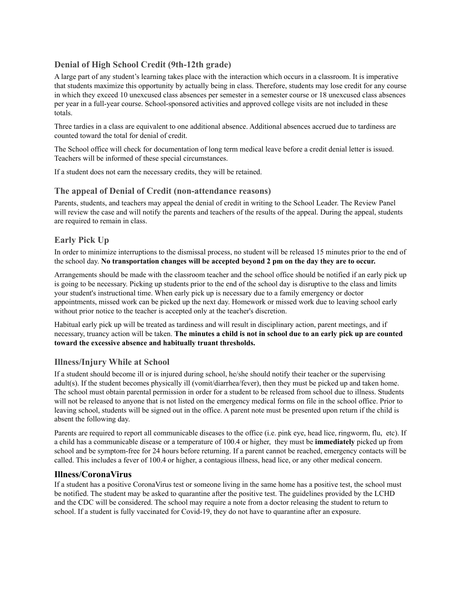## <span id="page-25-0"></span>**Denial of High School Credit (9th-12th grade)**

A large part of any student's learning takes place with the interaction which occurs in a classroom. It is imperative that students maximize this opportunity by actually being in class. Therefore, students may lose credit for any course in which they exceed 10 unexcused class absences per semester in a semester course or 18 unexcused class absences per year in a full-year course. School-sponsored activities and approved college visits are not included in these totals.

Three tardies in a class are equivalent to one additional absence. Additional absences accrued due to tardiness are counted toward the total for denial of credit.

The School office will check for documentation of long term medical leave before a credit denial letter is issued. Teachers will be informed of these special circumstances.

If a student does not earn the necessary credits, they will be retained.

## <span id="page-25-1"></span>**The appeal of Denial of Credit (non-attendance reasons)**

Parents, students, and teachers may appeal the denial of credit in writing to the School Leader. The Review Panel will review the case and will notify the parents and teachers of the results of the appeal. During the appeal, students are required to remain in class.

## <span id="page-25-2"></span>**Early Pick Up**

In order to minimize interruptions to the dismissal process, no student will be released 15 minutes prior to the end of the school day. **No transportation changes will be accepted beyond 2 pm on the day they are to occur.**

Arrangements should be made with the classroom teacher and the school office should be notified if an early pick up is going to be necessary. Picking up students prior to the end of the school day is disruptive to the class and limits your student's instructional time. When early pick up is necessary due to a family emergency or doctor appointments, missed work can be picked up the next day. Homework or missed work due to leaving school early without prior notice to the teacher is accepted only at the teacher's discretion.

Habitual early pick up will be treated as tardiness and will result in disciplinary action, parent meetings, and if necessary, truancy action will be taken. The minutes a child is not in school due to an early pick up are counted **toward the excessive absence and habitually truant thresholds.**

#### <span id="page-25-3"></span>**Illness/Injury While at School**

If a student should become ill or is injured during school, he/she should notify their teacher or the supervising adult(s). If the student becomes physically ill (vomit/diarrhea/fever), then they must be picked up and taken home. The school must obtain parental permission in order for a student to be released from school due to illness. Students will not be released to anyone that is not listed on the emergency medical forms on file in the school office. Prior to leaving school, students will be signed out in the office. A parent note must be presented upon return if the child is absent the following day.

Parents are required to report all communicable diseases to the office (i.e. pink eye, head lice, ringworm, flu, etc). If a child has a communicable disease or a temperature of 100.4 or higher, they must be **immediately** picked up from school and be symptom-free for 24 hours before returning. If a parent cannot be reached, emergency contacts will be called. This includes a fever of 100.4 or higher, a contagious illness, head lice, or any other medical concern.

#### **Illness/CoronaVirus**

If a student has a positive CoronaVirus test or someone living in the same home has a positive test, the school must be notified. The student may be asked to quarantine after the positive test. The guidelines provided by the LCHD and the CDC will be considered. The school may require a note from a doctor releasing the student to return to school. If a student is fully vaccinated for Covid-19, they do not have to quarantine after an exposure.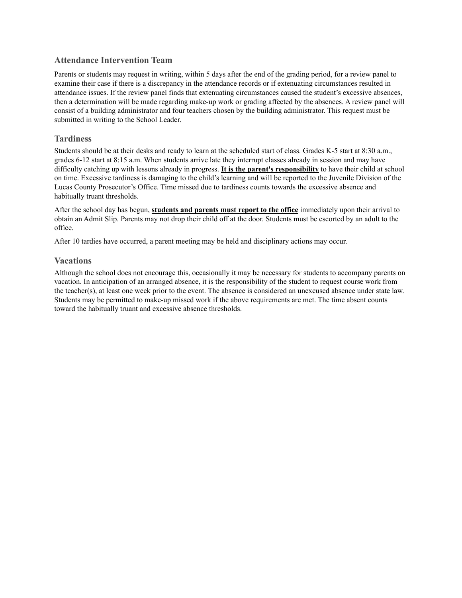#### **Attendance Intervention Team**

Parents or students may request in writing, within 5 days after the end of the grading period, for a review panel to examine their case if there is a discrepancy in the attendance records or if extenuating circumstances resulted in attendance issues. If the review panel finds that extenuating circumstances caused the student's excessive absences, then a determination will be made regarding make-up work or grading affected by the absences. A review panel will consist of a building administrator and four teachers chosen by the building administrator. This request must be submitted in writing to the School Leader.

## <span id="page-26-0"></span>**Tardiness**

Students should be at their desks and ready to learn at the scheduled start of class. Grades K-5 start at 8:30 a.m., grades 6-12 start at 8:15 a.m. When students arrive late they interrupt classes already in session and may have difficulty catching up with lessons already in progress. **It is the parent's responsibility** to have their child at school on time. Excessive tardiness is damaging to the child's learning and will be reported to the Juvenile Division of the Lucas County Prosecutor's Office. Time missed due to tardiness counts towards the excessive absence and habitually truant thresholds.

After the school day has begun, **students and parents must report to the office** immediately upon their arrival to obtain an Admit Slip. Parents may not drop their child off at the door. Students must be escorted by an adult to the office.

After 10 tardies have occurred, a parent meeting may be held and disciplinary actions may occur.

## <span id="page-26-1"></span>**Vacations**

Although the school does not encourage this, occasionally it may be necessary for students to accompany parents on vacation. In anticipation of an arranged absence, it is the responsibility of the student to request course work from the teacher(s), at least one week prior to the event. The absence is considered an unexcused absence under state law. Students may be permitted to make-up missed work if the above requirements are met. The time absent counts toward the habitually truant and excessive absence thresholds.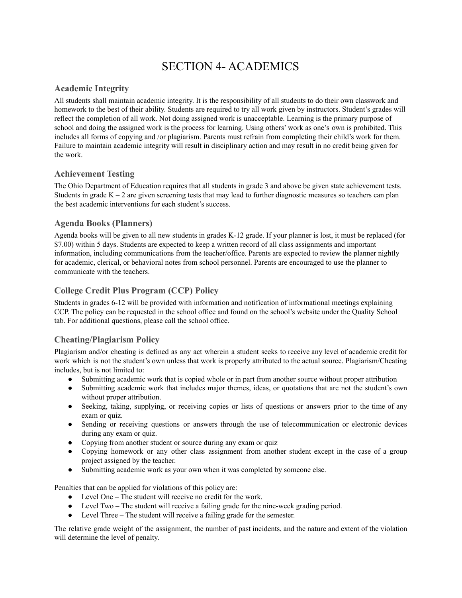# SECTION 4- ACADEMICS

## <span id="page-27-1"></span><span id="page-27-0"></span>**Academic Integrity**

All students shall maintain academic integrity. It is the responsibility of all students to do their own classwork and homework to the best of their ability. Students are required to try all work given by instructors. Student's grades will reflect the completion of all work. Not doing assigned work is unacceptable. Learning is the primary purpose of school and doing the assigned work is the process for learning. Using others' work as one's own is prohibited. This includes all forms of copying and /or plagiarism. Parents must refrain from completing their child's work for them. Failure to maintain academic integrity will result in disciplinary action and may result in no credit being given for the work.

## <span id="page-27-2"></span>**Achievement Testing**

The Ohio Department of Education requires that all students in grade 3 and above be given state achievement tests. Students in grade  $K - 2$  are given screening tests that may lead to further diagnostic measures so teachers can plan the best academic interventions for each student's success.

## <span id="page-27-3"></span>**Agenda Books (Planners)**

Agenda books will be given to all new students in grades K-12 grade. If your planner is lost, it must be replaced (for \$7.00) within 5 days. Students are expected to keep a written record of all class assignments and important information, including communications from the teacher/office. Parents are expected to review the planner nightly for academic, clerical, or behavioral notes from school personnel. Parents are encouraged to use the planner to communicate with the teachers.

## <span id="page-27-4"></span>**College Credit Plus Program (CCP) Policy**

Students in grades 6-12 will be provided with information and notification of informational meetings explaining CCP. The policy can be requested in the school office and found on the school's website under the Quality School tab. For additional questions, please call the school office.

## <span id="page-27-5"></span>**Cheating/Plagiarism Policy**

Plagiarism and/or cheating is defined as any act wherein a student seeks to receive any level of academic credit for work which is not the student's own unless that work is properly attributed to the actual source. Plagiarism/Cheating includes, but is not limited to:

- Submitting academic work that is copied whole or in part from another source without proper attribution
- Submitting academic work that includes major themes, ideas, or quotations that are not the student's own without proper attribution.
- Seeking, taking, supplying, or receiving copies or lists of questions or answers prior to the time of any exam or quiz.
- Sending or receiving questions or answers through the use of telecommunication or electronic devices during any exam or quiz.
- Copying from another student or source during any exam or quiz
- Copying homework or any other class assignment from another student except in the case of a group project assigned by the teacher.
- Submitting academic work as your own when it was completed by someone else.

Penalties that can be applied for violations of this policy are:

- Level One The student will receive no credit for the work.
- Level Two The student will receive a failing grade for the nine-week grading period.
- Level Three The student will receive a failing grade for the semester.

The relative grade weight of the assignment, the number of past incidents, and the nature and extent of the violation will determine the level of penalty.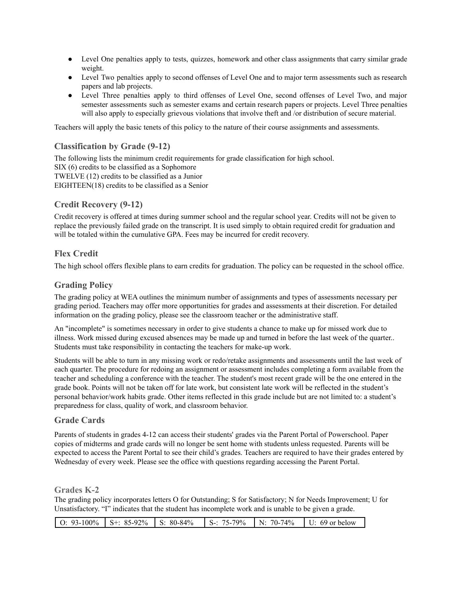- Level One penalties apply to tests, quizzes, homework and other class assignments that carry similar grade weight.
- Level Two penalties apply to second offenses of Level One and to major term assessments such as research papers and lab projects.
- Level Three penalties apply to third offenses of Level One, second offenses of Level Two, and major semester assessments such as semester exams and certain research papers or projects. Level Three penalties will also apply to especially grievous violations that involve theft and /or distribution of secure material.

<span id="page-28-0"></span>Teachers will apply the basic tenets of this policy to the nature of their course assignments and assessments.

## **Classification by Grade (9-12)**

The following lists the minimum credit requirements for grade classification for high school. SIX (6) credits to be classified as a Sophomore TWELVE (12) credits to be classified as a Junior EIGHTEEN(18) credits to be classified as a Senior

## <span id="page-28-1"></span>**Credit Recovery (9-12)**

Credit recovery is offered at times during summer school and the regular school year. Credits will not be given to replace the previously failed grade on the transcript. It is used simply to obtain required credit for graduation and will be totaled within the cumulative GPA. Fees may be incurred for credit recovery.

## <span id="page-28-2"></span>**Flex Credit**

The high school offers flexible plans to earn credits for graduation. The policy can be requested in the school office.

## <span id="page-28-3"></span>**Grading Policy**

The grading policy at WEA outlines the minimum number of assignments and types of assessments necessary per grading period. Teachers may offer more opportunities for grades and assessments at their discretion. For detailed information on the grading policy, please see the classroom teacher or the administrative staff.

An "incomplete" is sometimes necessary in order to give students a chance to make up for missed work due to illness. Work missed during excused absences may be made up and turned in before the last week of the quarter.. Students must take responsibility in contacting the teachers for make-up work.

Students will be able to turn in any missing work or redo/retake assignments and assessments until the last week of each quarter. The procedure for redoing an assignment or assessment includes completing a form available from the teacher and scheduling a conference with the teacher. The student's most recent grade will be the one entered in the grade book. Points will not be taken off for late work, but consistent late work will be reflected in the student's personal behavior/work habits grade. Other items reflected in this grade include but are not limited to: a student's preparedness for class, quality of work, and classroom behavior.

#### **Grade Cards**

Parents of students in grades 4-12 can access their students' grades via the Parent Portal of Powerschool. Paper copies of midterms and grade cards will no longer be sent home with students unless requested. Parents will be expected to access the Parent Portal to see their child's grades. Teachers are required to have their grades entered by Wednesday of every week. Please see the office with questions regarding accessing the Parent Portal.

#### **Grades K-2**

The grading policy incorporates letters O for Outstanding; S for Satisfactory; N for Needs Improvement; U for Unsatisfactory. "I" indicates that the student has incomplete work and is unable to be given a grade.

|  | $\vert$ O: 93-100% $\vert$ S+: 85-92% $\vert$ S: 80-84% $\vert$ S-: 75-79% $\vert$ N: 70-74% $\vert$ U: 69 or below |  |  |  |
|--|---------------------------------------------------------------------------------------------------------------------|--|--|--|
|--|---------------------------------------------------------------------------------------------------------------------|--|--|--|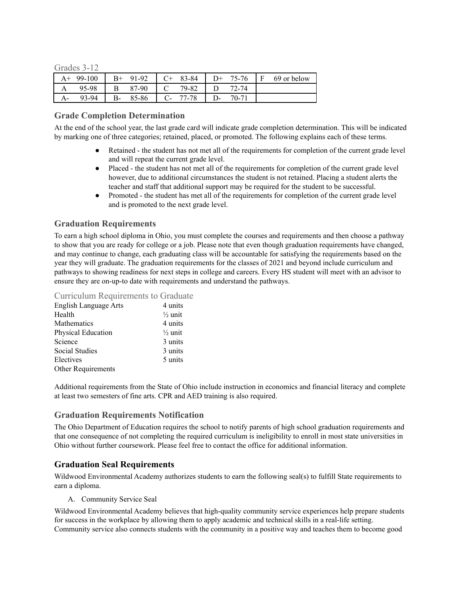Grades 3-12

| $A^+$ | 99-100 | $B+$ | 91-92 | $C_{+}$    | 83-84     | $D+$ | 75-76 | ΙF | 69 or below |
|-------|--------|------|-------|------------|-----------|------|-------|----|-------------|
|       | 95-98  | В    | 87-90 |            | $C$ 79-82 |      | 72-74 |    |             |
|       | 93-94  | $B-$ | 85-86 | $C_{\tau}$ | 77-78     |      | 70-71 |    |             |

#### <span id="page-29-0"></span>**Grade Completion Determination**

At the end of the school year, the last grade card will indicate grade completion determination. This will be indicated by marking one of three categories; retained, placed, or promoted. The following explains each of these terms.

- Retained the student has not met all of the requirements for completion of the current grade level and will repeat the current grade level.
- Placed the student has not met all of the requirements for completion of the current grade level however, due to additional circumstances the student is not retained. Placing a student alerts the teacher and staff that additional support may be required for the student to be successful.
- Promoted the student has met all of the requirements for completion of the current grade level and is promoted to the next grade level.

#### <span id="page-29-1"></span>**Graduation Requirements**

To earn a high school diploma in Ohio, you must complete the courses and [requirements](http://education.ohio.gov/Topics/Ohio-s-Graduation-Requirements/Complete-Courses-Classes-of-2020-and-beyond) and then choose a pathway to show that you are ready for college or a job. Please note that even though graduation requirements have changed, and may continue to change, each graduating class will be accountable for satisfying the requirements based on the year they will graduate. The graduation requirements for the classes of 2021 and beyond include curriculum and pathways to showing readiness for next steps in college and careers. Every HS student will meet with an advisor to ensure they are on-up-to date with requirements and understand the pathways.

#### Curriculum Requirements to Graduate

| English Language Arts | 4 units            |
|-----------------------|--------------------|
| Health                | $\frac{1}{2}$ unit |
| Mathematics           | 4 units            |
| Physical Education    | $\frac{1}{2}$ unit |
| Science               | 3 units            |
| Social Studies        | 3 units            |
| Electives             | 5 units            |
| Other Requirements    |                    |

Additional requirements from the State of Ohio include instruction in economics and financial literacy and complete at least two semesters of fine arts. CPR and AED training is also required.

#### <span id="page-29-2"></span>**Graduation Requirements Notification**

The Ohio Department of Education requires the school to notify parents of high school graduation requirements and that one consequence of not completing the required curriculum is ineligibility to enroll in most state universities in Ohio without further coursework. Please feel free to contact the office for additional information.

#### <span id="page-29-3"></span>**Graduation Seal Requirements**

Wildwood Environmental Academy authorizes students to earn the following seal(s) to fulfill State requirements to earn a diploma.

A. Community Service Seal

<span id="page-29-4"></span>Wildwood Environmental Academy believes that high-quality community service experiences help prepare students for success in the workplace by allowing them to apply academic and technical skills in a real-life setting. Community service also connects students with the community in a positive way and teaches them to become good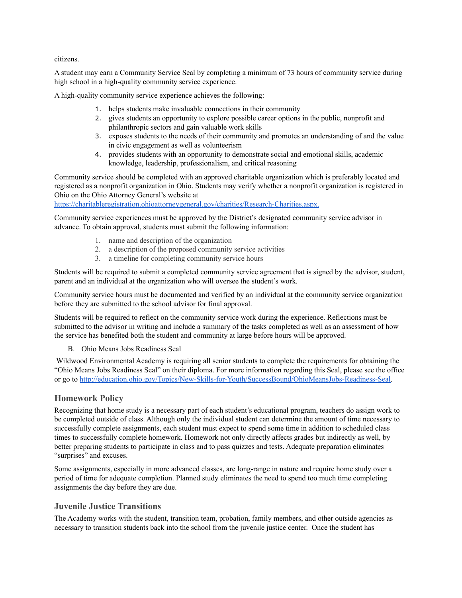citizens.

A student may earn a Community Service Seal by completing a minimum of 73 hours of community service during high school in a high-quality community service experience.

A high-quality community service experience achieves the following:

- 1. helps students make invaluable connections in their community
- 2. gives students an opportunity to explore possible career options in the public, nonprofit and philanthropic sectors and gain valuable work skills
- 3. exposes students to the needs of their community and promotes an understanding of and the value in civic engagement as well as volunteerism
- 4. provides students with an opportunity to demonstrate social and emotional skills, academic knowledge, leadership, professionalism, and critical reasoning

Community service should be completed with an approved charitable organization which is preferably located and registered as a nonprofit organization in Ohio. Students may verify whether a nonprofit organization is registered in Ohio on the Ohio Attorney General's website at

[https://charitableregistration.ohioattorneygeneral.gov/charities/Research-Charities.aspx.](https://charitableregistration.ohioattorneygeneral.gov/charities/Research-Charities.aspx)

Community service experiences must be approved by the District's designated community service advisor in advance. To obtain approval, students must submit the following information:

- 1. name and description of the organization
- 2. a description of the proposed community service activities
- 3. a timeline for completing community service hours

Students will be required to submit a completed community service agreement that is signed by the advisor, student, parent and an individual at the organization who will oversee the student's work.

Community service hours must be documented and verified by an individual at the community service organization before they are submitted to the school advisor for final approval.

Students will be required to reflect on the community service work during the experience. Reflections must be submitted to the advisor in writing and include a summary of the tasks completed as well as an assessment of how the service has benefited both the student and community at large before hours will be approved.

#### B. Ohio Means Jobs Readiness Seal

<span id="page-30-0"></span>Wildwood Environmental Academy is requiring all senior students to complete the requirements for obtaining the "Ohio Means Jobs Readiness Seal" on their diploma. For more information regarding this Seal, please see the office or go to [http://education.ohio.gov/Topics/New-Skills-for-Youth/SuccessBound/OhioMeansJobs-Readiness-Seal.](http://education.ohio.gov/Topics/New-Skills-for-Youth/SuccessBound/OhioMeansJobs-Readiness-Seal)

#### <span id="page-30-1"></span>**Homework Policy**

Recognizing that home study is a necessary part of each student's educational program, teachers do assign work to be completed outside of class. Although only the individual student can determine the amount of time necessary to successfully complete assignments, each student must expect to spend some time in addition to scheduled class times to successfully complete homework. Homework not only directly affects grades but indirectly as well, by better preparing students to participate in class and to pass quizzes and tests. Adequate preparation eliminates "surprises" and excuses.

Some assignments, especially in more advanced classes, are long-range in nature and require home study over a period of time for adequate completion. Planned study eliminates the need to spend too much time completing assignments the day before they are due.

## <span id="page-30-2"></span>**Juvenile Justice Transitions**

The Academy works with the student, transition team, probation, family members, and other outside agencies as necessary to transition students back into the school from the juvenile justice center. Once the student has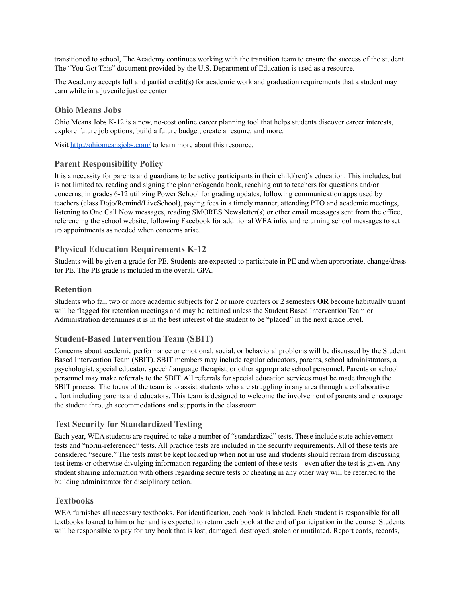transitioned to school, The Academy continues working with the transition team to ensure the success of the student. The "You Got This" document provided by the U.S. Department of Education is used as a resource.

The Academy accepts full and partial credit(s) for academic work and graduation requirements that a student may earn while in a juvenile justice center

#### <span id="page-31-0"></span>**Ohio Means Jobs**

Ohio Means Jobs K-12 is a new, no-cost online career planning tool that helps students discover career interests, explore future job options, build a future budget, create a resume, and more.

Visit <http://ohiomeansjobs.com/> to learn more about this resource.

#### <span id="page-31-1"></span>**Parent Responsibility Policy**

It is a necessity for parents and guardians to be active participants in their child(ren)'s education. This includes, but is not limited to, reading and signing the planner/agenda book, reaching out to teachers for questions and/or concerns, in grades 6-12 utilizing Power School for grading updates, following communication apps used by teachers (class Dojo/Remind/LiveSchool), paying fees in a timely manner, attending PTO and academic meetings, listening to One Call Now messages, reading SMORES Newsletter(s) or other email messages sent from the office, referencing the school website, following Facebook for additional WEA info, and returning school messages to set up appointments as needed when concerns arise.

#### <span id="page-31-2"></span>**Physical Education Requirements K-12**

Students will be given a grade for PE. Students are expected to participate in PE and when appropriate, change/dress for PE. The PE grade is included in the overall GPA.

#### <span id="page-31-3"></span>**Retention**

Students who fail two or more academic subjects for 2 or more quarters or 2 semesters **OR** become habitually truant will be flagged for retention meetings and may be retained unless the Student Based Intervention Team or Administration determines it is in the best interest of the student to be "placed" in the next grade level.

#### <span id="page-31-4"></span>**Student-Based Intervention Team (SBIT)**

Concerns about academic performance or emotional, social, or behavioral problems will be discussed by the Student Based Intervention Team (SBIT). SBIT members may include regular educators, parents, school administrators, a psychologist, special educator, speech/language therapist, or other appropriate school personnel. Parents or school personnel may make referrals to the SBIT. All referrals for special education services must be made through the SBIT process. The focus of the team is to assist students who are struggling in any area through a collaborative effort including parents and educators. This team is designed to welcome the involvement of parents and encourage the student through accommodations and supports in the classroom.

#### <span id="page-31-5"></span>**Test Security for Standardized Testing**

Each year, WEA students are required to take a number of "standardized" tests. These include state achievement tests and "norm-referenced" tests. All practice tests are included in the security requirements. All of these tests are considered "secure." The tests must be kept locked up when not in use and students should refrain from discussing test items or otherwise divulging information regarding the content of these tests – even after the test is given. Any student sharing information with others regarding secure tests or cheating in any other way will be referred to the building administrator for disciplinary action.

#### <span id="page-31-6"></span>**Textbooks**

WEA furnishes all necessary textbooks. For identification, each book is labeled. Each student is responsible for all textbooks loaned to him or her and is expected to return each book at the end of participation in the course. Students will be responsible to pay for any book that is lost, damaged, destroyed, stolen or mutilated. Report cards, records,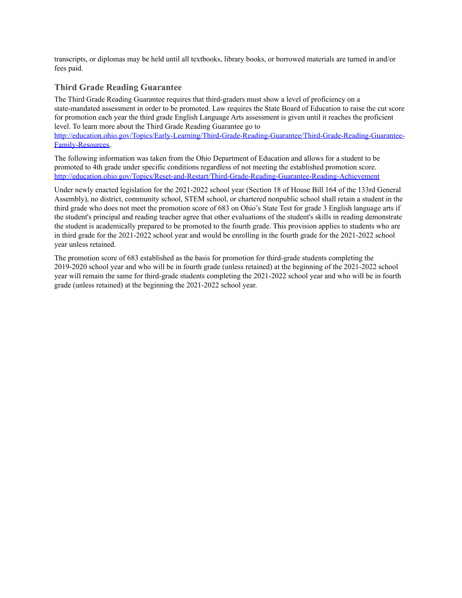transcripts, or diplomas may be held until all textbooks, library books, or borrowed materials are turned in and/or fees paid.

## <span id="page-32-0"></span>**Third Grade Reading Guarantee**

The Third Grade Reading Guarantee requires that third-graders must show a level of proficiency on a state-mandated assessment in order to be promoted. Law requires the State Board of Education to raise the cut score for promotion each year the third grade English Language Arts assessment is given until it reaches the proficient level. To learn more about the Third Grade Reading Guarantee go to [http://education.ohio.gov/Topics/Early-Learning/Third-Grade-Reading-Guarantee/Third-Grade-Reading-Guarantee-](http://education.ohio.gov/Topics/Early-Learning/Third-Grade-Reading-Guarantee/Third-Grade-Reading-Guarantee-Family-Resources)

[Family-Resources.](http://education.ohio.gov/Topics/Early-Learning/Third-Grade-Reading-Guarantee/Third-Grade-Reading-Guarantee-Family-Resources)

The following information was taken from the Ohio Department of Education and allows for a student to be promoted to 4th grade under specific conditions regardless of not meeting the established promotion score. <http://education.ohio.gov/Topics/Reset-and-Restart/Third-Grade-Reading-Guarantee-Reading-Achievement>

Under newly enacted legislation for the 2021-2022 school year (Section 18 of House Bill 164 of the 133rd General Assembly), no district, community school, STEM school, or chartered nonpublic school shall retain a student in the third grade who does not meet the promotion score of 683 on Ohio's State Test for grade 3 English language arts if the student's principal and reading teacher agree that other evaluations of the student's skills in reading demonstrate the student is academically prepared to be promoted to the fourth grade. This provision applies to students who are in third grade for the 2021-2022 school year and would be enrolling in the fourth grade for the 2021-2022 school year unless retained.

The promotion score of 683 established as the basis for promotion for third-grade students completing the 2019-2020 school year and who will be in fourth grade (unless retained) at the beginning of the 2021-2022 school year will remain the same for third-grade students completing the 2021-2022 school year and who will be in fourth grade (unless retained) at the beginning the 2021-2022 school year.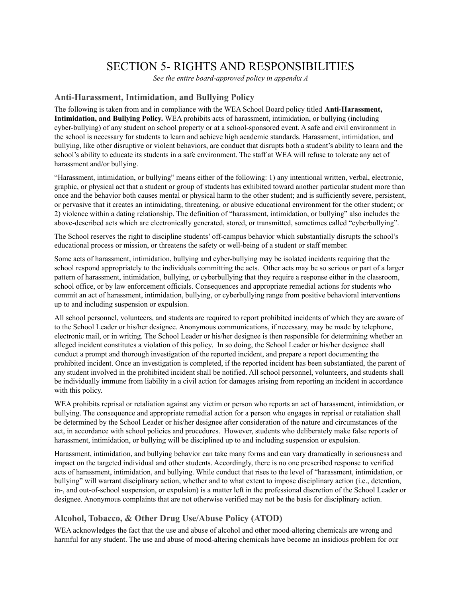# SECTION 5- RIGHTS AND RESPONSIBILITIES

*See the entire board-approved policy in appendix A*

## <span id="page-33-1"></span><span id="page-33-0"></span>**Anti-Harassment, Intimidation, and Bullying Policy**

The following is taken from and in compliance with the WEA School Board policy titled **Anti-Harassment, Intimidation, and Bullying Policy.** WEA prohibits acts of harassment, intimidation, or bullying (including cyber-bullying) of any student on school property or at a school-sponsored event. A safe and civil environment in the school is necessary for students to learn and achieve high academic standards. Harassment, intimidation, and bullying, like other disruptive or violent behaviors, are conduct that disrupts both a student's ability to learn and the school's ability to educate its students in a safe environment. The staff at WEA will refuse to tolerate any act of harassment and/or bullying.

"Harassment, intimidation, or bullying" means either of the following: 1) any intentional written, verbal, electronic, graphic, or physical act that a student or group of students has exhibited toward another particular student more than once and the behavior both causes mental or physical harm to the other student; and is sufficiently severe, persistent, or pervasive that it creates an intimidating, threatening, or abusive educational environment for the other student; or 2) violence within a dating relationship. The definition of "harassment, intimidation, or bullying" also includes the above-described acts which are electronically generated, stored, or transmitted, sometimes called "cyberbullying".

The School reserves the right to discipline students' off-campus behavior which substantially disrupts the school's educational process or mission, or threatens the safety or well-being of a student or staff member.

Some acts of harassment, intimidation, bullying and cyber-bullying may be isolated incidents requiring that the school respond appropriately to the individuals committing the acts. Other acts may be so serious or part of a larger pattern of harassment, intimidation, bullying, or cyberbullying that they require a response either in the classroom, school office, or by law enforcement officials. Consequences and appropriate remedial actions for students who commit an act of harassment, intimidation, bullying, or cyberbullying range from positive behavioral interventions up to and including suspension or expulsion.

All school personnel, volunteers, and students are required to report prohibited incidents of which they are aware of to the School Leader or his/her designee. Anonymous communications, if necessary, may be made by telephone, electronic mail, or in writing. The School Leader or his/her designee is then responsible for determining whether an alleged incident constitutes a violation of this policy. In so doing, the School Leader or his/her designee shall conduct a prompt and thorough investigation of the reported incident, and prepare a report documenting the prohibited incident. Once an investigation is completed, if the reported incident has been substantiated, the parent of any student involved in the prohibited incident shall be notified. All school personnel, volunteers, and students shall be individually immune from liability in a civil action for damages arising from reporting an incident in accordance with this policy.

WEA prohibits reprisal or retaliation against any victim or person who reports an act of harassment, intimidation, or bullying. The consequence and appropriate remedial action for a person who engages in reprisal or retaliation shall be determined by the School Leader or his/her designee after consideration of the nature and circumstances of the act, in accordance with school policies and procedures. However, students who deliberately make false reports of harassment, intimidation, or bullying will be disciplined up to and including suspension or expulsion.

Harassment, intimidation, and bullying behavior can take many forms and can vary dramatically in seriousness and impact on the targeted individual and other students. Accordingly, there is no one prescribed response to verified acts of harassment, intimidation, and bullying. While conduct that rises to the level of "harassment, intimidation, or bullying" will warrant disciplinary action, whether and to what extent to impose disciplinary action (i.e., detention, in-, and out-of-school suspension, or expulsion) is a matter left in the professional discretion of the School Leader or designee. Anonymous complaints that are not otherwise verified may not be the basis for disciplinary action.

## <span id="page-33-2"></span>**Alcohol, Tobacco, & Other Drug Use/Abuse Policy (ATOD)**

WEA acknowledges the fact that the use and abuse of alcohol and other mood-altering chemicals are wrong and harmful for any student. The use and abuse of mood-altering chemicals have become an insidious problem for our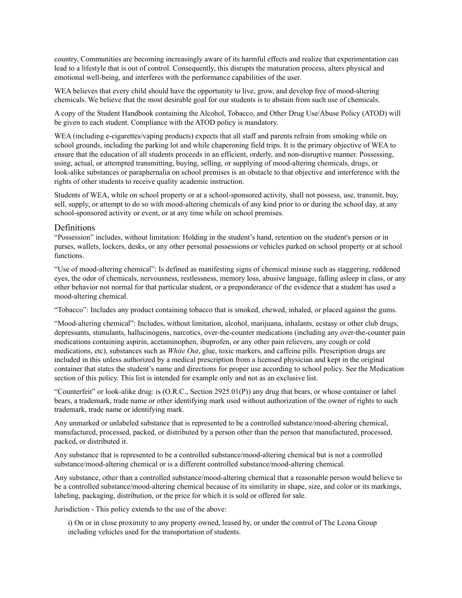country. Communities are becoming increasingly aware of its harmful effects and realize that experimentation can lead to a lifestyle that is out of control. Consequently, this disrupts the maturation process, alters physical and emotional well-being, and interferes with the performance capabilities of the user.

WEA believes that every child should have the opportunity to live, grow, and develop free of mood-altering chemicals. We believe that the most desirable goal for our students is to abstain from such use of chemicals.

A copy of the Student Handbook containing the Alcohol, Tobacco, and Other Drug Use/Abuse Policy (ATOD) will be given to each student. Compliance with the ATOD policy is mandatory.

WEA (including e-cigarettes/vaping products) expects that all staff and parents refrain from smoking while on school grounds, including the parking lot and while chaperoning field trips. It is the primary objective of WEA to ensure that the education of all students proceeds in an efficient, orderly, and non-disruptive manner. Possessing, using, actual, or attempted transmitting, buying, selling, or supplying of mood-altering chemicals, drugs, or look-alike substances or paraphernalia on school premises is an obstacle to that objective and interference with the rights of other students to receive quality academic instruction.

Students of WEA, while on school property or at a school-sponsored activity, shall not possess, use, transmit, buy, sell, supply, or attempt to do so with mood-altering chemicals of any kind prior to or during the school day, at any school-sponsored activity or event, or at any time while on school premises.

#### Definitions

"Possession" includes, without limitation: Holding in the student's hand, retention on the student's person or in purses, wallets, lockers, desks, or any other personal possessions or vehicles parked on school property or at school functions.

"Use of mood-altering chemical": Is defined as manifesting signs of chemical misuse such as staggering, reddened eyes, the odor of chemicals, nervousness, restlessness, memory loss, abusive language, falling asleep in class, or any other behavior not normal for that particular student, or a preponderance of the evidence that a student has used a mood-altering chemical.

"Tobacco": Includes any product containing tobacco that is smoked, chewed, inhaled, or placed against the gums.

"Mood-altering chemical": Includes, without limitation, alcohol, marijuana, inhalants, ecstasy or other club drugs, depressants, stimulants, hallucinogens, narcotics, over-the-counter medications (including any over-the-counter pain medications containing aspirin, acetaminophen, ibuprofen, or any other pain relievers, any cough or cold medications, etc), substances such as *White Out*, glue, toxic markers, and caffeine pills. Prescription drugs are included in this unless authorized by a medical prescription from a licensed physician and kept in the original container that states the student's name and directions for proper use according to school policy. See the Medication section of this policy. This list is intended for example only and not as an exclusive list.

"Counterfeit" or look-alike drug: is (O.R.C., Section 2925.01(P)) any drug that bears, or whose container or label bears, a trademark, trade name or other identifying mark used without authorization of the owner of rights to such trademark, trade name or identifying mark.

Any unmarked or unlabeled substance that is represented to be a controlled substance/mood-altering chemical, manufactured, processed, packed, or distributed by a person other than the person that manufactured, processed, packed, or distributed it.

Any substance that is represented to be a controlled substance/mood-altering chemical but is not a controlled substance/mood-altering chemical or is a different controlled substance/mood-altering chemical.

Any substance, other than a controlled substance/mood-altering chemical that a reasonable person would believe to be a controlled substance/mood-altering chemical because of its similarity in shape, size, and color or its markings, labeling, packaging, distribution, or the price for which it is sold or offered for sale.

Jurisdiction - This policy extends to the use of the above:

i) On or in close proximity to any property owned, leased by, or under the control of The Leona Group including vehicles used for the transportation of students.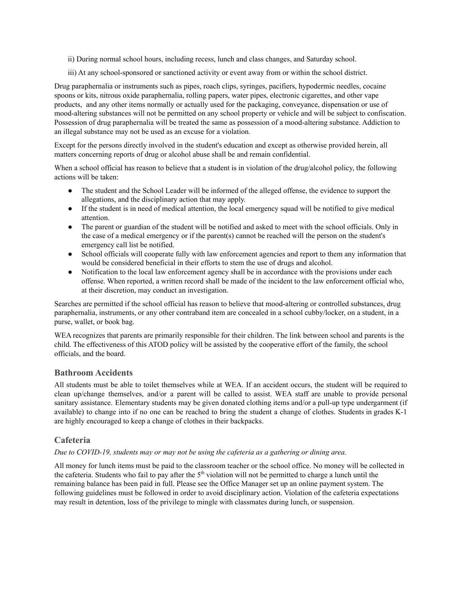- ii) During normal school hours, including recess, lunch and class changes, and Saturday school.
- iii) At any school-sponsored or sanctioned activity or event away from or within the school district.

Drug paraphernalia or instruments such as pipes, roach clips, syringes, pacifiers, hypodermic needles, cocaine spoons or kits, nitrous oxide paraphernalia, rolling papers, water pipes, electronic cigarettes, and other vape products, and any other items normally or actually used for the packaging, conveyance, dispensation or use of mood-altering substances will not be permitted on any school property or vehicle and will be subject to confiscation. Possession of drug paraphernalia will be treated the same as possession of a mood-altering substance. Addiction to an illegal substance may not be used as an excuse for a violation.

Except for the persons directly involved in the student's education and except as otherwise provided herein, all matters concerning reports of drug or alcohol abuse shall be and remain confidential.

When a school official has reason to believe that a student is in violation of the drug/alcohol policy, the following actions will be taken:

- The student and the School Leader will be informed of the alleged offense, the evidence to support the allegations, and the disciplinary action that may apply.
- If the student is in need of medical attention, the local emergency squad will be notified to give medical attention.
- The parent or guardian of the student will be notified and asked to meet with the school officials. Only in the case of a medical emergency or if the parent(s) cannot be reached will the person on the student's emergency call list be notified.
- School officials will cooperate fully with law enforcement agencies and report to them any information that would be considered beneficial in their efforts to stem the use of drugs and alcohol.
- Notification to the local law enforcement agency shall be in accordance with the provisions under each offense. When reported, a written record shall be made of the incident to the law enforcement official who, at their discretion, may conduct an investigation.

Searches are permitted if the school official has reason to believe that mood-altering or controlled substances, drug paraphernalia, instruments, or any other contraband item are concealed in a school cubby/locker, on a student, in a purse, wallet, or book bag.

WEA recognizes that parents are primarily responsible for their children. The link between school and parents is the child. The effectiveness of this ATOD policy will be assisted by the cooperative effort of the family, the school officials, and the board.

#### <span id="page-35-0"></span>**Bathroom Accidents**

All students must be able to toilet themselves while at WEA. If an accident occurs, the student will be required to clean up/change themselves, and/or a parent will be called to assist. WEA staff are unable to provide personal sanitary assistance. Elementary students may be given donated clothing items and/or a pull-up type undergarment (if available) to change into if no one can be reached to bring the student a change of clothes. Students in grades K-1 are highly encouraged to keep a change of clothes in their backpacks.

#### <span id="page-35-1"></span>**Cafeteria**

#### *Due to COVID-19, students may or may not be using the cafeteria as a gathering or dining area.*

All money for lunch items must be paid to the classroom teacher or the school office. No money will be collected in the cafeteria. Students who fail to pay after the  $5<sup>th</sup>$  violation will not be permitted to charge a lunch until the remaining balance has been paid in full. Please see the Office Manager set up an online payment system. The following guidelines must be followed in order to avoid disciplinary action. Violation of the cafeteria expectations may result in detention, loss of the privilege to mingle with classmates during lunch, or suspension.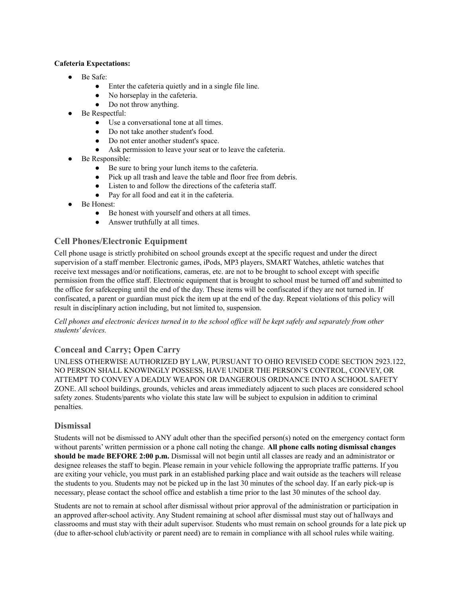#### **Cafeteria Expectations:**

- Be Safe:
	- Enter the cafeteria quietly and in a single file line.
	- No horseplay in the cafeteria.
	- Do not throw anything.
- Be Respectful:
	- Use a conversational tone at all times.
	- Do not take another student's food.
	- Do not enter another student's space.
	- Ask permission to leave your seat or to leave the cafeteria.
- Be Responsible:
	- Be sure to bring your lunch items to the cafeteria.
	- Pick up all trash and leave the table and floor free from debris.
	- Listen to and follow the directions of the cafeteria staff.
	- Pay for all food and eat it in the cafeteria.
- Be Honest:
	- Be honest with yourself and others at all times.
	- Answer truthfully at all times.

# <span id="page-36-0"></span>**Cell Phones/Electronic Equipment**

Cell phone usage is strictly prohibited on school grounds except at the specific request and under the direct supervision of a staff member. Electronic games, iPods, MP3 players, SMART Watches, athletic watches that receive text messages and/or notifications, cameras, etc. are not to be brought to school except with specific permission from the office staff. Electronic equipment that is brought to school must be turned off and submitted to the office for safekeeping until the end of the day. These items will be confiscated if they are not turned in. If confiscated, a parent or guardian must pick the item up at the end of the day. Repeat violations of this policy will result in disciplinary action including, but not limited to, suspension.

#### Cell phones and electronic devices turned in to the school office will be kept safely and separately from other *students' devices.*

# <span id="page-36-1"></span>**Conceal and Carry; Open Carry**

UNLESS OTHERWISE AUTHORIZED BY LAW, PURSUANT TO OHIO REVISED CODE SECTION 2923.122, NO PERSON SHALL KNOWINGLY POSSESS, HAVE UNDER THE PERSON'S CONTROL, CONVEY, OR ATTEMPT TO CONVEY A DEADLY WEAPON OR DANGEROUS ORDNANCE INTO A SCHOOL SAFETY ZONE. All school buildings, grounds, vehicles and areas immediately adjacent to such places are considered school safety zones. Students/parents who violate this state law will be subject to expulsion in addition to criminal penalties.

## <span id="page-36-2"></span>**Dismissal**

Students will not be dismissed to ANY adult other than the specified person(s) noted on the emergency contact form without parents' written permission or a phone call noting the change. **All phone calls noting dismissal changes should be made BEFORE 2:00 p.m.** Dismissal will not begin until all classes are ready and an administrator or designee releases the staff to begin. Please remain in your vehicle following the appropriate traffic patterns. If you are exiting your vehicle, you must park in an established parking place and wait outside as the teachers will release the students to you. Students may not be picked up in the last 30 minutes of the school day. If an early pick-up is necessary, please contact the school office and establish a time prior to the last 30 minutes of the school day.

Students are not to remain at school after dismissal without prior approval of the administration or participation in an approved after-school activity. Any Student remaining at school after dismissal must stay out of hallways and classrooms and must stay with their adult supervisor. Students who must remain on school grounds for a late pick up (due to after-school club/activity or parent need) are to remain in compliance with all school rules while waiting.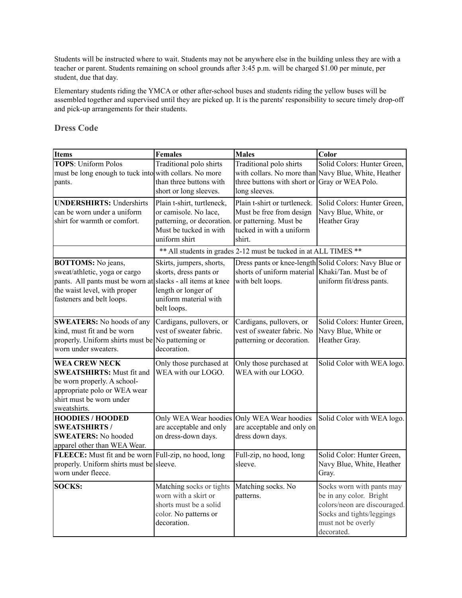Students will be instructed where to wait. Students may not be anywhere else in the building unless they are with a teacher or parent. Students remaining on school grounds after 3:45 p.m. will be charged \$1.00 per minute, per student, due that day.

Elementary students riding the YMCA or other after-school buses and students riding the yellow buses will be assembled together and supervised until they are picked up. It is the parents' responsibility to secure timely drop-off and pick-up arrangements for their students.

#### <span id="page-37-0"></span>**Dress Code**

| Items                                                                                                                                                                                  | <b>Females</b>                                                                                                               | <b>Males</b>                                                                                                             | Color                                                                                                                                                 |
|----------------------------------------------------------------------------------------------------------------------------------------------------------------------------------------|------------------------------------------------------------------------------------------------------------------------------|--------------------------------------------------------------------------------------------------------------------------|-------------------------------------------------------------------------------------------------------------------------------------------------------|
| <b>TOPS: Uniform Polos</b><br>must be long enough to tuck into with collars. No more<br>pants.                                                                                         | Traditional polo shirts<br>than three buttons with<br>short or long sleeves.                                                 | Traditional polo shirts<br>three buttons with short or<br>long sleeves.                                                  | Solid Colors: Hunter Green,<br>with collars. No more than Navy Blue, White, Heather<br>Gray or WEA Polo.                                              |
| <b>UNDERSHIRTS: Undershirts</b><br>can be worn under a uniform<br>shirt for warmth or comfort.                                                                                         | Plain t-shirt, turtleneck,<br>or camisole. No lace,<br>patterning, or decoration.<br>Must be tucked in with<br>uniform shirt | Plain t-shirt or turtleneck.<br>Must be free from design<br>or patterning. Must be<br>tucked in with a uniform<br>shirt. | Solid Colors: Hunter Green,<br>Navy Blue, White, or<br><b>Heather Gray</b>                                                                            |
|                                                                                                                                                                                        |                                                                                                                              | ** All students in grades 2-12 must be tucked in at ALL TIMES **                                                         |                                                                                                                                                       |
| <b>BOTTOMS:</b> No jeans,<br>sweat/athletic, yoga or cargo<br>pants. All pants must be worn at slacks - all items at knee<br>the waist level, with proper<br>fasteners and belt loops. | Skirts, jumpers, shorts,<br>skorts, dress pants or<br>length or longer of<br>uniform material with<br>belt loops.            | shorts of uniform material Khaki/Tan. Must be of<br>with belt loops.                                                     | Dress pants or knee-length Solid Colors: Navy Blue or<br>uniform fit/dress pants.                                                                     |
| <b>SWEATERS:</b> No hoods of any<br>kind, must fit and be worn<br>properly. Uniform shirts must be No patterning or<br>worn under sweaters.                                            | Cardigans, pullovers, or<br>vest of sweater fabric.<br>decoration.                                                           | Cardigans, pullovers, or<br>vest of sweater fabric. No<br>patterning or decoration.                                      | Solid Colors: Hunter Green,<br>Navy Blue, White or<br>Heather Gray.                                                                                   |
| <b>WEA CREW NECK</b><br><b>SWEATSHIRTS: Must fit and</b><br>be worn properly. A school-<br>appropriate polo or WEA wear<br>shirt must be worn under<br>sweatshirts.                    | Only those purchased at<br>WEA with our LOGO.                                                                                | Only those purchased at<br>WEA with our LOGO.                                                                            | Solid Color with WEA logo.                                                                                                                            |
| <b>HOODIES / HOODED</b><br><b>SWEATSHIRTS/</b><br><b>SWEATERS: No hooded</b><br>apparel other than WEA Wear.                                                                           | Only WEA Wear hoodies<br>are acceptable and only<br>on dress-down days.                                                      | Only WEA Wear hoodies<br>are acceptable and only on<br>dress down days.                                                  | Solid Color with WEA logo.                                                                                                                            |
| FLEECE: Must fit and be worn Full-zip, no hood, long<br>properly. Uniform shirts must be sleeve.<br>worn under fleece.                                                                 |                                                                                                                              | Full-zip, no hood, long<br>sleeve.                                                                                       | Solid Color: Hunter Green,<br>Navy Blue, White, Heather<br>Gray.                                                                                      |
| <b>SOCKS:</b>                                                                                                                                                                          | Matching socks or tights<br>worn with a skirt or<br>shorts must be a solid<br>color. No patterns or<br>decoration.           | Matching socks. No<br>patterns.                                                                                          | Socks worn with pants may<br>be in any color. Bright<br>colors/neon are discouraged.<br>Socks and tights/leggings<br>must not be overly<br>decorated. |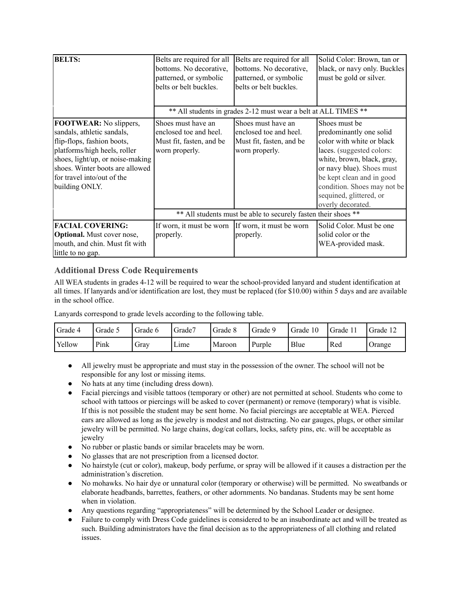| <b>BELTS:</b>                                                                                                                                                                                                                                    | Belts are required for all<br>bottoms. No decorative,<br>patterned, or symbolic<br>belts or belt buckles. | Belts are required for all<br>bottoms. No decorative,<br>patterned, or symbolic<br>belts or belt buckles. | Solid Color: Brown, tan or<br>black, or navy only. Buckles<br>must be gold or silver.                                                                                                                                                                                     |  |  |
|--------------------------------------------------------------------------------------------------------------------------------------------------------------------------------------------------------------------------------------------------|-----------------------------------------------------------------------------------------------------------|-----------------------------------------------------------------------------------------------------------|---------------------------------------------------------------------------------------------------------------------------------------------------------------------------------------------------------------------------------------------------------------------------|--|--|
|                                                                                                                                                                                                                                                  | ** All students in grades 2-12 must wear a belt at ALL TIMES **                                           |                                                                                                           |                                                                                                                                                                                                                                                                           |  |  |
| <b>FOOTWEAR:</b> No slippers,<br>sandals, athletic sandals,<br>flip-flops, fashion boots,<br>platforms/high heels, roller<br>shoes, light/up, or noise-making<br>shoes. Winter boots are allowed<br>for travel into/out of the<br>building ONLY. | Shoes must have an<br>enclosed toe and heel.<br>Must fit, fasten, and be<br>worn properly.                | Shoes must have an<br>enclosed toe and heel.<br>Must fit, fasten, and be<br>worn properly.                | Shoes must be<br>predominantly one solid<br>color with white or black<br>laces. (suggested colors:<br>white, brown, black, gray,<br>or navy blue). Shoes must<br>be kept clean and in good<br>condition. Shoes may not be<br>sequined, glittered, or<br>overly decorated. |  |  |
|                                                                                                                                                                                                                                                  | ** All students must be able to securely fasten their shoes **                                            |                                                                                                           |                                                                                                                                                                                                                                                                           |  |  |
| <b>FACIAL COVERING:</b><br><b>Optional.</b> Must cover nose,<br>mouth, and chin. Must fit with<br>little to no gap.                                                                                                                              | If worn, it must be worn<br>properly.                                                                     | If worn, it must be worn<br>properly.                                                                     | Solid Color. Must be one<br>solid color or the<br>WEA-provided mask.                                                                                                                                                                                                      |  |  |

## <span id="page-38-0"></span>**Additional Dress Code Requirements**

All WEA students in grades 4-12 will be required to wear the school-provided lanyard and student identification at all times. If lanyards and/or identification are lost, they must be replaced (for \$10.00) within 5 days and are available in the school office.

Lanyards correspond to grade levels according to the following table.

| Grade 4 | Grade 5 | Grade 6 | Grade7 | Grade 8 | Grade 9 | Grade 10 | Grade | Grade 1 |
|---------|---------|---------|--------|---------|---------|----------|-------|---------|
| 'Yellow | Pink    | Gray    | Lime   | Maroon  | Purple  | Blue     | Red   | Orange  |

- All jewelry must be appropriate and must stay in the possession of the owner. The school will not be responsible for any lost or missing items.
- No hats at any time (including dress down).
- Facial piercings and visible tattoos (temporary or other) are not permitted at school. Students who come to school with tattoos or piercings will be asked to cover (permanent) or remove (temporary) what is visible. If this is not possible the student may be sent home. No facial piercings are acceptable at WEA. Pierced ears are allowed as long as the jewelry is modest and not distracting. No ear gauges, plugs, or other similar jewelry will be permitted. No large chains, dog/cat collars, locks, safety pins, etc. will be acceptable as jewelry
- No rubber or plastic bands or similar bracelets may be worn.
- No glasses that are not prescription from a licensed doctor.
- No hairstyle (cut or color), makeup, body perfume, or spray will be allowed if it causes a distraction per the administration's discretion.
- No mohawks. No hair dye or unnatural color (temporary or otherwise) will be permitted. No sweatbands or elaborate headbands, barrettes, feathers, or other adornments. No bandanas. Students may be sent home when in violation.
- Any questions regarding "appropriateness" will be determined by the School Leader or designee.
- Failure to comply with Dress Code guidelines is considered to be an insubordinate act and will be treated as such. Building administrators have the final decision as to the appropriateness of all clothing and related issues.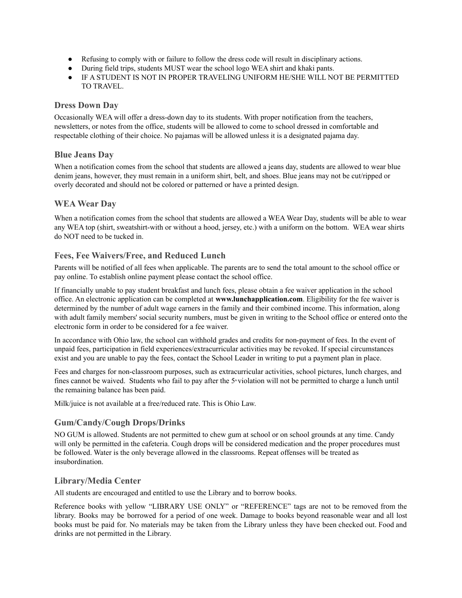- Refusing to comply with or failure to follow the dress code will result in disciplinary actions.
- During field trips, students MUST wear the school logo WEA shirt and khaki pants.
- IF A STUDENT IS NOT IN PROPER TRAVELING UNIFORM HE/SHE WILL NOT BE PERMITTED TO TRAVEL.

#### <span id="page-39-0"></span>**Dress Down Day**

Occasionally WEA will offer a dress-down day to its students. With proper notification from the teachers, newsletters, or notes from the office, students will be allowed to come to school dressed in comfortable and respectable clothing of their choice. No pajamas will be allowed unless it is a designated pajama day.

#### <span id="page-39-1"></span>**Blue Jeans Day**

When a notification comes from the school that students are allowed a jeans day, students are allowed to wear blue denim jeans, however, they must remain in a uniform shirt, belt, and shoes. Blue jeans may not be cut/ripped or overly decorated and should not be colored or patterned or have a printed design.

## <span id="page-39-2"></span>**WEA Wear Day**

When a notification comes from the school that students are allowed a WEA Wear Day, students will be able to wear any WEA top (shirt, sweatshirt-with or without a hood, jersey, etc.) with a uniform on the bottom. WEA wear shirts do NOT need to be tucked in.

## <span id="page-39-3"></span>**Fees, Fee Waivers/Free, and Reduced Lunch**

Parents will be notified of all fees when applicable. The parents are to send the total amount to the school office or pay online. To establish online payment please contact the school office.

If financially unable to pay student breakfast and lunch fees, please obtain a fee waiver application in the school office. An electronic application can be completed at **[www.lunchapplication.com](http://www.lunchapplication.com/)**. Eligibility for the fee waiver is determined by the number of adult wage earners in the family and their combined income. This information, along with adult family members' social security numbers, must be given in writing to the School office or entered onto the electronic form in order to be considered for a fee waiver.

In accordance with Ohio law, the school can withhold grades and credits for non-payment of fees. In the event of unpaid fees, participation in field experiences/extracurricular activities may be revoked. If special circumstances exist and you are unable to pay the fees, contact the School Leader in writing to put a payment plan in place.

Fees and charges for non-classroom purposes, such as extracurricular activities, school pictures, lunch charges, and fines cannot be waived. Students who fail to pay after the  $5$ \*violation will not be permitted to charge a lunch until the remaining balance has been paid.

Milk/juice is not available at a free/reduced rate. This is Ohio Law.

## <span id="page-39-4"></span>**Gum/Candy/Cough Drops/Drinks**

NO GUM is allowed. Students are not permitted to chew gum at school or on school grounds at any time. Candy will only be permitted in the cafeteria. Cough drops will be considered medication and the proper procedures must be followed. Water is the only beverage allowed in the classrooms. Repeat offenses will be treated as insubordination.

## <span id="page-39-5"></span>**Library/Media Center**

All students are encouraged and entitled to use the Library and to borrow books.

Reference books with yellow "LIBRARY USE ONLY" or "REFERENCE" tags are not to be removed from the library. Books may be borrowed for a period of one week. Damage to books beyond reasonable wear and all lost books must be paid for. No materials may be taken from the Library unless they have been checked out. Food and drinks are not permitted in the Library.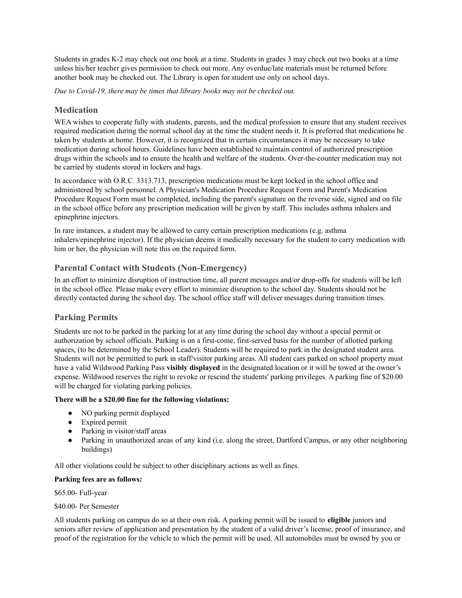Students in grades K-2 may check out one book at a time. Students in grades 3 may check out two books at a time unless his/her teacher gives permission to check out more. Any overdue/late materials must be returned before another book may be checked out. The Library is open for student use only on school days.

*Due to Covid-19, there may be times that library books may not be checked out.*

#### <span id="page-40-0"></span>**Medication**

WEA wishes to cooperate fully with students, parents, and the medical profession to ensure that any student receives required medication during the normal school day at the time the student needs it. It is preferred that medications be taken by students at home. However, it is recognized that in certain circumstances it may be necessary to take medication during school hours. Guidelines have been established to maintain control of authorized prescription drugs within the schools and to ensure the health and welfare of the students. Over-the-counter medication may not be carried by students stored in lockers and bags.

In accordance with O.R.C. 3313.713, prescription medications must be kept locked in the school office and administered by school personnel. A Physician's Medication Procedure Request Form and Parent's Medication Procedure Request Form must be completed, including the parent's signature on the reverse side, signed and on file in the school office before any prescription medication will be given by staff. This includes asthma inhalers and epinephrine injectors.

In rare instances, a student may be allowed to carry certain prescription medications (e.g. asthma inhalers/epinephrine injector). If the physician deems it medically necessary for the student to carry medication with him or her, the physician will note this on the required form.

## <span id="page-40-1"></span>**Parental Contact with Students (Non-Emergency)**

In an effort to minimize disruption of instruction time, all parent messages and/or drop-offs for students will be left in the school office. Please make every effort to minimize disruption to the school day. Students should not be directly contacted during the school day. The school office staff will deliver messages during transition times.

#### <span id="page-40-2"></span>**Parking Permits**

Students are not to be parked in the parking lot at any time during the school day without a special permit or authorization by school officials. Parking is on a first-come, first-served basis for the number of allotted parking spaces, (to be determined by the School Leader). Students will be required to park in the designated student area. Students will not be permitted to park in staff/visitor parking areas. All student cars parked on school property must have a valid Wildwood Parking Pass **visibly displayed** in the designated location or it will be towed at the owner's expense. Wildwood reserves the right to revoke or rescind the students' parking privileges. A parking fine of \$20.00 will be charged for violating parking policies.

#### **There will be a \$20.00 fine for the following violations:**

- NO parking permit displayed
- Expired permit
- Parking in visitor/staff areas
- Parking in unauthorized areas of any kind (i.e. along the street, Dartford Campus, or any other neighboring buildings)

All other violations could be subject to other disciplinary actions as well as fines.

#### **Parking fees are as follows:**

\$65.00- Full-year

\$40.00- Per Semester

All students parking on campus do so at their own risk. A parking permit will be issued to **eligible** juniors and seniors after review of application and presentation by the student of a valid driver's license, proof of insurance, and proof of the registration for the vehicle to which the permit will be used. All automobiles must be owned by you or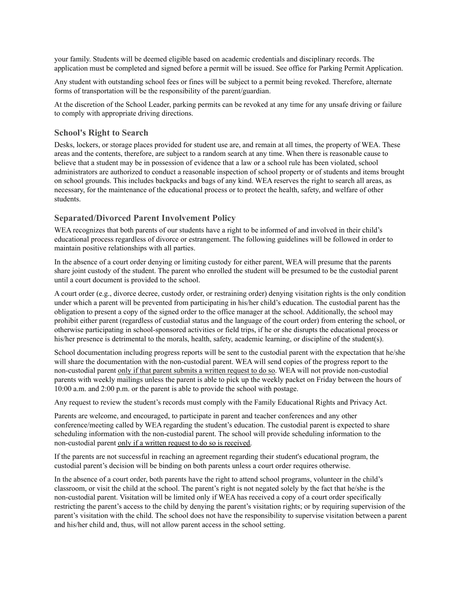your family. Students will be deemed eligible based on academic credentials and disciplinary records. The application must be completed and signed before a permit will be issued. See office for Parking Permit Application.

Any student with outstanding school fees or fines will be subject to a permit being revoked. Therefore, alternate forms of transportation will be the responsibility of the parent/guardian.

At the discretion of the School Leader, parking permits can be revoked at any time for any unsafe driving or failure to comply with appropriate driving directions.

#### <span id="page-41-0"></span>**School's Right to Search**

Desks, lockers, or storage places provided for student use are, and remain at all times, the property of WEA. These areas and the contents, therefore, are subject to a random search at any time. When there is reasonable cause to believe that a student may be in possession of evidence that a law or a school rule has been violated, school administrators are authorized to conduct a reasonable inspection of school property or of students and items brought on school grounds. This includes backpacks and bags of any kind. WEA reserves the right to search all areas, as necessary, for the maintenance of the educational process or to protect the health, safety, and welfare of other students.

#### <span id="page-41-1"></span>**Separated/Divorced Parent Involvement Policy**

WEA recognizes that both parents of our students have a right to be informed of and involved in their child's educational process regardless of divorce or estrangement. The following guidelines will be followed in order to maintain positive relationships with all parties.

In the absence of a court order denying or limiting custody for either parent, WEA will presume that the parents share joint custody of the student. The parent who enrolled the student will be presumed to be the custodial parent until a court document is provided to the school.

A court order (e.g., divorce decree, custody order, or restraining order) denying visitation rights is the only condition under which a parent will be prevented from participating in his/her child's education. The custodial parent has the obligation to present a copy of the signed order to the office manager at the school. Additionally, the school may prohibit either parent (regardless of custodial status and the language of the court order) from entering the school, or otherwise participating in school-sponsored activities or field trips, if he or she disrupts the educational process or his/her presence is detrimental to the morals, health, safety, academic learning, or discipline of the student(s).

School documentation including progress reports will be sent to the custodial parent with the expectation that he/she will share the documentation with the non-custodial parent. WEA will send copies of the progress report to the non-custodial parent only if that parent submits a written request to do so. WEA will not provide non-custodial parents with weekly mailings unless the parent is able to pick up the weekly packet on Friday between the hours of 10:00 a.m. and 2:00 p.m. or the parent is able to provide the school with postage.

Any request to review the student's records must comply with the Family Educational Rights and Privacy Act.

Parents are welcome, and encouraged, to participate in parent and teacher conferences and any other conference/meeting called by WEA regarding the student's education. The custodial parent is expected to share scheduling information with the non-custodial parent. The school will provide scheduling information to the non-custodial parent only if a written request to do so is received.

If the parents are not successful in reaching an agreement regarding their student's educational program, the custodial parent's decision will be binding on both parents unless a court order requires otherwise.

In the absence of a court order, both parents have the right to attend school programs, volunteer in the child's classroom, or visit the child at the school. The parent's right is not negated solely by the fact that he/she is the non-custodial parent. Visitation will be limited only if WEA has received a copy of a court order specifically restricting the parent's access to the child by denying the parent's visitation rights; or by requiring supervision of the parent's visitation with the child. The school does not have the responsibility to supervise visitation between a parent and his/her child and, thus, will not allow parent access in the school setting.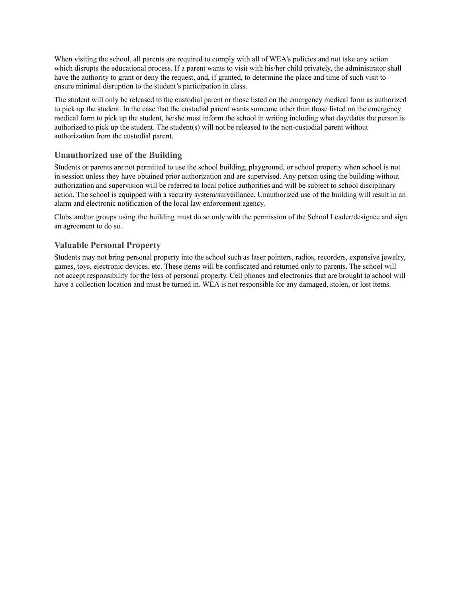When visiting the school, all parents are required to comply with all of WEA's policies and not take any action which disrupts the educational process. If a parent wants to visit with his/her child privately, the administrator shall have the authority to grant or deny the request, and, if granted, to determine the place and time of such visit to ensure minimal disruption to the student's participation in class.

The student will only be released to the custodial parent or those listed on the emergency medical form as authorized to pick up the student. In the case that the custodial parent wants someone other than those listed on the emergency medical form to pick up the student, he/she must inform the school in writing including what day/dates the person is authorized to pick up the student. The student(s) will not be released to the non-custodial parent without authorization from the custodial parent.

## <span id="page-42-0"></span>**Unauthorized use of the Building**

Students or parents are not permitted to use the school building, playground, or school property when school is not in session unless they have obtained prior authorization and are supervised. Any person using the building without authorization and supervision will be referred to local police authorities and will be subject to school disciplinary action. The school is equipped with a security system/surveillance. Unauthorized use of the building will result in an alarm and electronic notification of the local law enforcement agency.

Clubs and/or groups using the building must do so only with the permission of the School Leader/designee and sign an agreement to do so.

## <span id="page-42-1"></span>**Valuable Personal Property**

Students may not bring personal property into the school such as laser pointers, radios, recorders, expensive jewelry, games, toys, electronic devices, etc. These items will be confiscated and returned only to parents. The school will not accept responsibility for the loss of personal property. Cell phones and electronics that are brought to school will have a collection location and must be turned in. WEA is not responsible for any damaged, stolen, or lost items.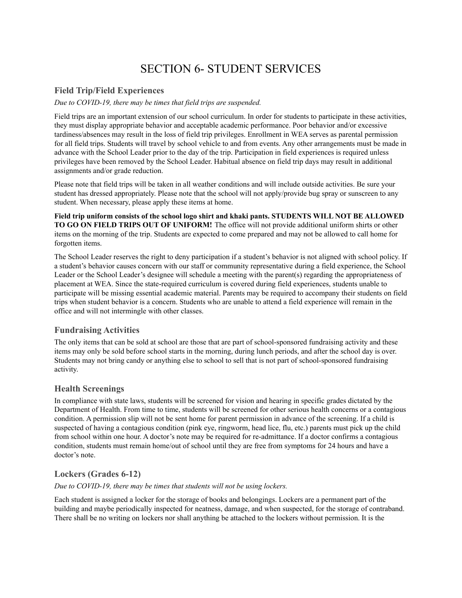# SECTION 6- STUDENT SERVICES

## <span id="page-43-1"></span><span id="page-43-0"></span>**Field Trip/Field Experiences**

#### *Due to COVID-19, there may be times that field trips are suspended.*

Field trips are an important extension of our school curriculum. In order for students to participate in these activities, they must display appropriate behavior and acceptable academic performance. Poor behavior and/or excessive tardiness/absences may result in the loss of field trip privileges. Enrollment in WEA serves as parental permission for all field trips. Students will travel by school vehicle to and from events. Any other arrangements must be made in advance with the School Leader prior to the day of the trip. Participation in field experiences is required unless privileges have been removed by the School Leader. Habitual absence on field trip days may result in additional assignments and/or grade reduction.

Please note that field trips will be taken in all weather conditions and will include outside activities. Be sure your student has dressed appropriately. Please note that the school will not apply/provide bug spray or sunscreen to any student. When necessary, please apply these items at home.

**Field trip uniform consists of the school logo shirt and khaki pants. STUDENTS WILL NOT BE ALLOWED TO GO ON FIELD TRIPS OUT OF UNIFORM!** The office will not provide additional uniform shirts or other items on the morning of the trip. Students are expected to come prepared and may not be allowed to call home for forgotten items.

The School Leader reserves the right to deny participation if a student's behavior is not aligned with school policy. If a student's behavior causes concern with our staff or community representative during a field experience, the School Leader or the School Leader's designee will schedule a meeting with the parent(s) regarding the appropriateness of placement at WEA. Since the state-required curriculum is covered during field experiences, students unable to participate will be missing essential academic material. Parents may be required to accompany their students on field trips when student behavior is a concern. Students who are unable to attend a field experience will remain in the office and will not intermingle with other classes.

#### <span id="page-43-2"></span>**Fundraising Activities**

The only items that can be sold at school are those that are part of school-sponsored fundraising activity and these items may only be sold before school starts in the morning, during lunch periods, and after the school day is over. Students may not bring candy or anything else to school to sell that is not part of school-sponsored fundraising activity.

#### <span id="page-43-3"></span>**Health Screenings**

In compliance with state laws, students will be screened for vision and hearing in specific grades dictated by the Department of Health. From time to time, students will be screened for other serious health concerns or a contagious condition. A permission slip will not be sent home for parent permission in advance of the screening. If a child is suspected of having a contagious condition (pink eye, ringworm, head lice, flu, etc.) parents must pick up the child from school within one hour. A doctor's note may be required for re-admittance. If a doctor confirms a contagious condition, students must remain home/out of school until they are free from symptoms for 24 hours and have a doctor's note.

## <span id="page-43-4"></span>**Lockers (Grades 6-12)**

#### *Due to COVID-19, there may be times that students will not be using lockers.*

Each student is assigned a locker for the storage of books and belongings. Lockers are a permanent part of the building and maybe periodically inspected for neatness, damage, and when suspected, for the storage of contraband. There shall be no writing on lockers nor shall anything be attached to the lockers without permission. It is the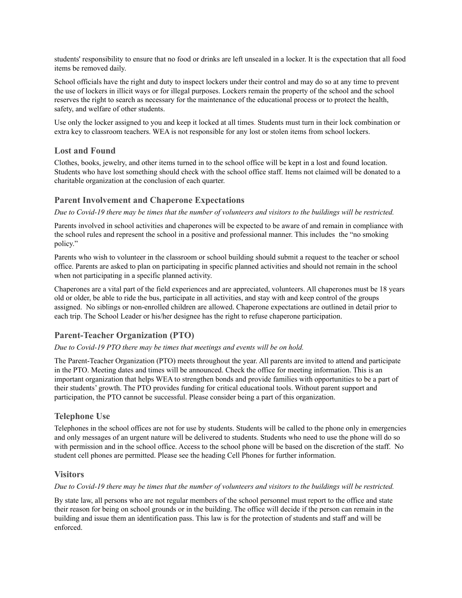students' responsibility to ensure that no food or drinks are left unsealed in a locker. It is the expectation that all food items be removed daily.

School officials have the right and duty to inspect lockers under their control and may do so at any time to prevent the use of lockers in illicit ways or for illegal purposes. Lockers remain the property of the school and the school reserves the right to search as necessary for the maintenance of the educational process or to protect the health, safety, and welfare of other students.

Use only the locker assigned to you and keep it locked at all times. Students must turn in their lock combination or extra key to classroom teachers. WEA is not responsible for any lost or stolen items from school lockers.

#### <span id="page-44-0"></span>**Lost and Found**

Clothes, books, jewelry, and other items turned in to the school office will be kept in a lost and found location. Students who have lost something should check with the school office staff. Items not claimed will be donated to a charitable organization at the conclusion of each quarter.

#### <span id="page-44-1"></span>**Parent Involvement and Chaperone Expectations**

Due to Covid-19 there may be times that the number of volunteers and visitors to the buildings will be restricted.

Parents involved in school activities and chaperones will be expected to be aware of and remain in compliance with the school rules and represent the school in a positive and professional manner. This includes the "no smoking policy."

Parents who wish to volunteer in the classroom or school building should submit a request to the teacher or school office. Parents are asked to plan on participating in specific planned activities and should not remain in the school when not participating in a specific planned activity.

Chaperones are a vital part of the field experiences and are appreciated, volunteers. All chaperones must be 18 years old or older, be able to ride the bus, participate in all activities, and stay with and keep control of the groups assigned. No siblings or non-enrolled children are allowed. Chaperone expectations are outlined in detail prior to each trip. The School Leader or his/her designee has the right to refuse chaperone participation.

#### <span id="page-44-2"></span>**Parent-Teacher Organization (PTO)**

#### *Due to Covid-19 PTO there may be times that meetings and events will be on hold.*

The Parent-Teacher Organization (PTO) meets throughout the year. All parents are invited to attend and participate in the PTO. Meeting dates and times will be announced. Check the office for meeting information. This is an important organization that helps WEA to strengthen bonds and provide families with opportunities to be a part of their students' growth. The PTO provides funding for critical educational tools. Without parent support and participation, the PTO cannot be successful. Please consider being a part of this organization.

## <span id="page-44-3"></span>**Telephone Use**

Telephones in the school offices are not for use by students. Students will be called to the phone only in emergencies and only messages of an urgent nature will be delivered to students. Students who need to use the phone will do so with permission and in the school office. Access to the school phone will be based on the discretion of the staff. No student cell phones are permitted. Please see the heading Cell Phones for further information.

#### <span id="page-44-4"></span>**Visitors**

#### Due to Covid-19 there may be times that the number of volunteers and visitors to the buildings will be restricted.

By state law, all persons who are not regular members of the school personnel must report to the office and state their reason for being on school grounds or in the building. The office will decide if the person can remain in the building and issue them an identification pass. This law is for the protection of students and staff and will be enforced.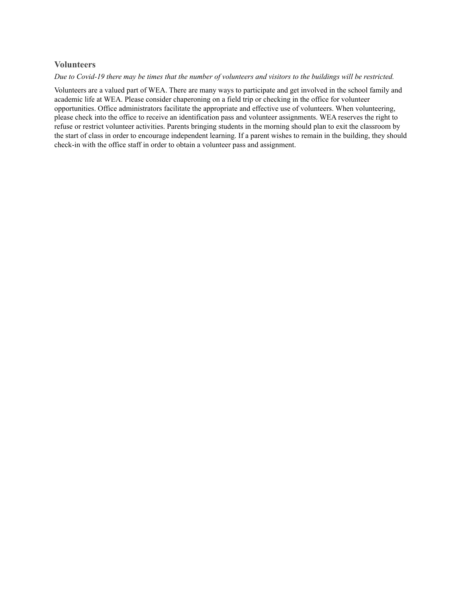#### <span id="page-45-0"></span>**Volunteers**

#### Due to Covid-19 there may be times that the number of volunteers and visitors to the buildings will be restricted.

Volunteers are a valued part of WEA. There are many ways to participate and get involved in the school family and academic life at WEA. Please consider chaperoning on a field trip or checking in the office for volunteer opportunities. Office administrators facilitate the appropriate and effective use of volunteers. When volunteering, please check into the office to receive an identification pass and volunteer assignments. WEA reserves the right to refuse or restrict volunteer activities. Parents bringing students in the morning should plan to exit the classroom by the start of class in order to encourage independent learning. If a parent wishes to remain in the building, they should check-in with the office staff in order to obtain a volunteer pass and assignment.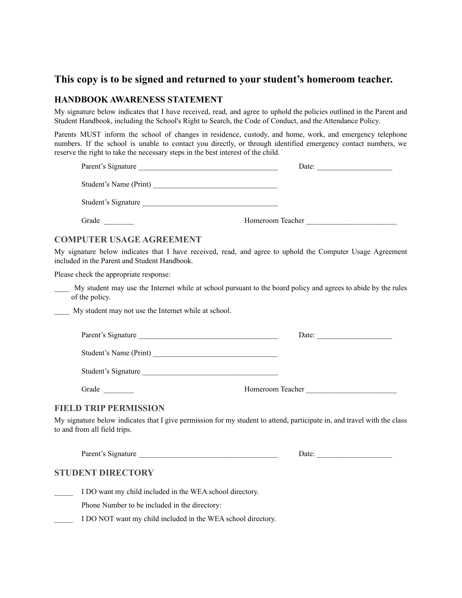# **This copy is to be signed and returned to your student's homeroom teacher.**

## **HANDBOOK AWARENESS STATEMENT**

My signature below indicates that I have received, read, and agree to uphold the policies outlined in the Parent and Student Handbook, including the School's Right to Search, the Code of Conduct, and the Attendance Policy.

Parents MUST inform the school of changes in residence, custody, and home, work, and emergency telephone numbers. If the school is unable to contact you directly, or through identified emergency contact numbers, we reserve the right to take the necessary steps in the best interest of the child.

| Parent's Signature                                                                                               | Date:            |  |
|------------------------------------------------------------------------------------------------------------------|------------------|--|
| Student's Name (Print)                                                                                           |                  |  |
| Student's Signature<br>the control of the control of the control of the control of the control of the control of |                  |  |
| Grade                                                                                                            | Homeroom Teacher |  |
|                                                                                                                  |                  |  |

#### **COMPUTER USAGE AGREEMENT**

My signature below indicates that I have received, read, and agree to uphold the Computer Usage Agreement included in the Parent and Student Handbook.

Please check the appropriate response:

\_\_\_\_ My student may use the Internet while at school pursuant to the board policy and agrees to abide by the rules of the policy.

\_\_\_\_ My student may not use the Internet while at school.

| Parent's Signature |  |
|--------------------|--|
|--------------------|--|

Student's Name (Print)

Student's Signature

Grade **Grade Example 1** Homeroom Teacher **Homeroom Teacher** 

#### **FIELD TRIP PERMISSION**

My signature below indicates that I give permission for my student to attend, participate in, and travel with the class to and from all field trips.

Parent's Signature **Date:**  $\Box$ 

## **STUDENT DIRECTORY**

I DO want my child included in the WEA school directory.

Phone Number to be included in the directory:

I DO NOT want my child included in the WEA school directory.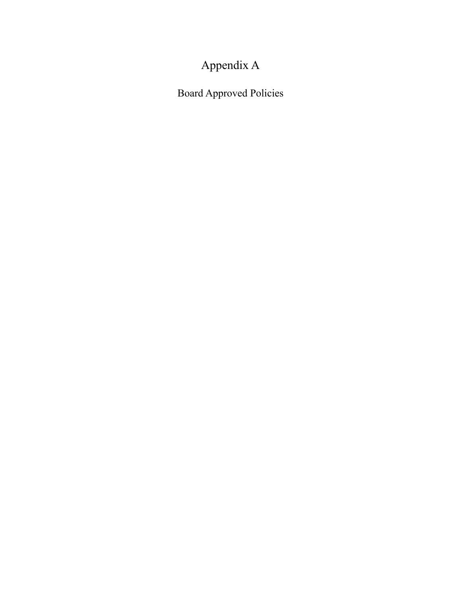# Appendix A

<span id="page-47-0"></span>Board Approved Policies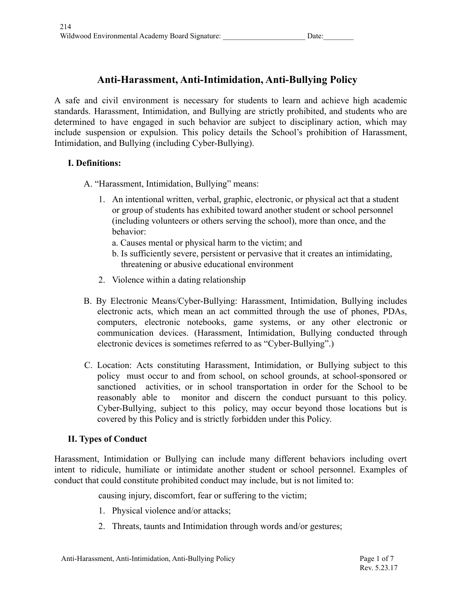# **Anti-Harassment, Anti-Intimidation, Anti-Bullying Policy**

A safe and civil environment is necessary for students to learn and achieve high academic standards. Harassment, Intimidation, and Bullying are strictly prohibited, and students who are determined to have engaged in such behavior are subject to disciplinary action, which may include suspension or expulsion. This policy details the School's prohibition of Harassment, Intimidation, and Bullying (including Cyber-Bullying).

# **I. Definitions:**

A. "Harassment, Intimidation, Bullying" means:

- 1. An intentional written, verbal, graphic, electronic, or physical act that a student or group of students has exhibited toward another student or school personnel (including volunteers or others serving the school), more than once, and the behavior:
	- a. Causes mental or physical harm to the victim; and
	- b. Is sufficiently severe, persistent or pervasive that it creates an intimidating, threatening or abusive educational environment
- 2. Violence within a dating relationship
- B. By Electronic Means/Cyber-Bullying: Harassment, Intimidation, Bullying includes electronic acts, which mean an act committed through the use of phones, PDAs, computers, electronic notebooks, game systems, or any other electronic or communication devices. (Harassment, Intimidation, Bullying conducted through electronic devices is sometimes referred to as "Cyber-Bullying".)
- C. Location: Acts constituting Harassment, Intimidation, or Bullying subject to this policy must occur to and from school, on school grounds, at school-sponsored or sanctioned activities, or in school transportation in order for the School to be reasonably able to monitor and discern the conduct pursuant to this policy. Cyber-Bullying, subject to this policy, may occur beyond those locations but is covered by this Policy and is strictly forbidden under this Policy.

# **II. Types of Conduct**

Harassment, Intimidation or Bullying can include many different behaviors including overt intent to ridicule, humiliate or intimidate another student or school personnel. Examples of conduct that could constitute prohibited conduct may include, but is not limited to:

causing injury, discomfort, fear or suffering to the victim;

- 1. Physical violence and/or attacks;
- 2. Threats, taunts and Intimidation through words and/or gestures;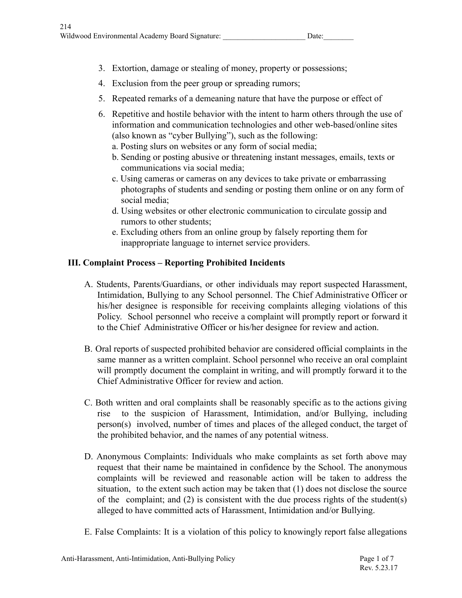- 3. Extortion, damage or stealing of money, property or possessions;
- 4. Exclusion from the peer group or spreading rumors;
- 5. Repeated remarks of a demeaning nature that have the purpose or effect of
- 6. Repetitive and hostile behavior with the intent to harm others through the use of information and communication technologies and other web-based/online sites (also known as "cyber Bullying"), such as the following:
	- a. Posting slurs on websites or any form of social media;
	- b. Sending or posting abusive or threatening instant messages, emails, texts or communications via social media;
	- c. Using cameras or cameras on any devices to take private or embarrassing photographs of students and sending or posting them online or on any form of social media;
	- d. Using websites or other electronic communication to circulate gossip and rumors to other students;
	- e. Excluding others from an online group by falsely reporting them for inappropriate language to internet service providers.

# **III. Complaint Process – Reporting Prohibited Incidents**

- A. Students, Parents/Guardians, or other individuals may report suspected Harassment, Intimidation, Bullying to any School personnel. The Chief Administrative Officer or his/her designee is responsible for receiving complaints alleging violations of this Policy. School personnel who receive a complaint will promptly report or forward it to the Chief Administrative Officer or his/her designee for review and action.
- B. Oral reports of suspected prohibited behavior are considered official complaints in the same manner as a written complaint. School personnel who receive an oral complaint will promptly document the complaint in writing, and will promptly forward it to the Chief Administrative Officer for review and action.
- C. Both written and oral complaints shall be reasonably specific as to the actions giving rise to the suspicion of Harassment, Intimidation, and/or Bullying, including person(s) involved, number of times and places of the alleged conduct, the target of the prohibited behavior, and the names of any potential witness.
- D. Anonymous Complaints: Individuals who make complaints as set forth above may request that their name be maintained in confidence by the School. The anonymous complaints will be reviewed and reasonable action will be taken to address the situation, to the extent such action may be taken that (1) does not disclose the source of the complaint; and  $(2)$  is consistent with the due process rights of the student(s) alleged to have committed acts of Harassment, Intimidation and/or Bullying.
- E. False Complaints: It is a violation of this policy to knowingly report false allegations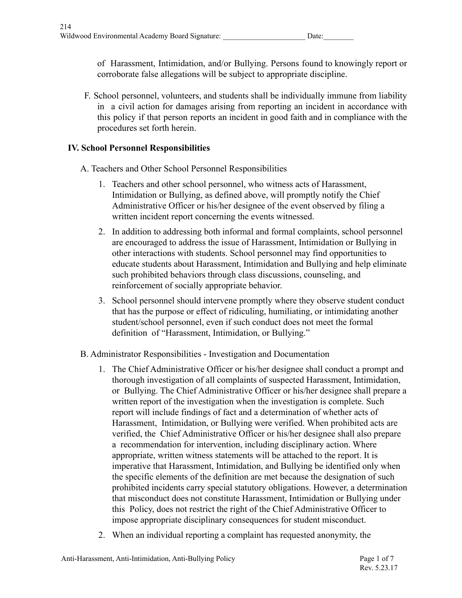of Harassment, Intimidation, and/or Bullying. Persons found to knowingly report or corroborate false allegations will be subject to appropriate discipline.

F. School personnel, volunteers, and students shall be individually immune from liability in a civil action for damages arising from reporting an incident in accordance with this policy if that person reports an incident in good faith and in compliance with the procedures set forth herein.

# **IV. School Personnel Responsibilities**

- A. Teachers and Other School Personnel Responsibilities
	- 1. Teachers and other school personnel, who witness acts of Harassment, Intimidation or Bullying, as defined above, will promptly notify the Chief Administrative Officer or his/her designee of the event observed by filing a written incident report concerning the events witnessed.
	- 2. In addition to addressing both informal and formal complaints, school personnel are encouraged to address the issue of Harassment, Intimidation or Bullying in other interactions with students. School personnel may find opportunities to educate students about Harassment, Intimidation and Bullying and help eliminate such prohibited behaviors through class discussions, counseling, and reinforcement of socially appropriate behavior.
	- 3. School personnel should intervene promptly where they observe student conduct that has the purpose or effect of ridiculing, humiliating, or intimidating another student/school personnel, even if such conduct does not meet the formal definition of "Harassment, Intimidation, or Bullying."
- B. Administrator Responsibilities Investigation and Documentation
	- 1. The Chief Administrative Officer or his/her designee shall conduct a prompt and thorough investigation of all complaints of suspected Harassment, Intimidation, or Bullying. The Chief Administrative Officer or his/her designee shall prepare a written report of the investigation when the investigation is complete. Such report will include findings of fact and a determination of whether acts of Harassment, Intimidation, or Bullying were verified. When prohibited acts are verified, the Chief Administrative Officer or his/her designee shall also prepare a recommendation for intervention, including disciplinary action. Where appropriate, written witness statements will be attached to the report. It is imperative that Harassment, Intimidation, and Bullying be identified only when the specific elements of the definition are met because the designation of such prohibited incidents carry special statutory obligations. However, a determination that misconduct does not constitute Harassment, Intimidation or Bullying under this Policy, does not restrict the right of the Chief Administrative Officer to impose appropriate disciplinary consequences for student misconduct.
	- 2. When an individual reporting a complaint has requested anonymity, the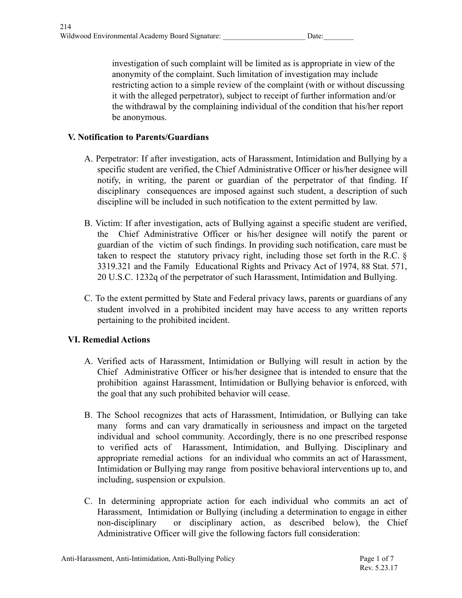investigation of such complaint will be limited as is appropriate in view of the anonymity of the complaint. Such limitation of investigation may include restricting action to a simple review of the complaint (with or without discussing it with the alleged perpetrator), subject to receipt of further information and/or the withdrawal by the complaining individual of the condition that his/her report be anonymous.

# **V. Notification to Parents/Guardians**

- A. Perpetrator: If after investigation, acts of Harassment, Intimidation and Bullying by a specific student are verified, the Chief Administrative Officer or his/her designee will notify, in writing, the parent or guardian of the perpetrator of that finding. If disciplinary consequences are imposed against such student, a description of such discipline will be included in such notification to the extent permitted by law.
- B. Victim: If after investigation, acts of Bullying against a specific student are verified, the Chief Administrative Officer or his/her designee will notify the parent or guardian of the victim of such findings. In providing such notification, care must be taken to respect the statutory privacy right, including those set forth in the R.C. § 3319.321 and the Family Educational Rights and Privacy Act of 1974, 88 Stat. 571, 20 U.S.C. 1232q of the perpetrator of such Harassment, Intimidation and Bullying.
- C. To the extent permitted by State and Federal privacy laws, parents or guardians of any student involved in a prohibited incident may have access to any written reports pertaining to the prohibited incident.

# **VI. Remedial Actions**

- A. Verified acts of Harassment, Intimidation or Bullying will result in action by the Chief Administrative Officer or his/her designee that is intended to ensure that the prohibition against Harassment, Intimidation or Bullying behavior is enforced, with the goal that any such prohibited behavior will cease.
- B. The School recognizes that acts of Harassment, Intimidation, or Bullying can take many forms and can vary dramatically in seriousness and impact on the targeted individual and school community. Accordingly, there is no one prescribed response to verified acts of Harassment, Intimidation, and Bullying. Disciplinary and appropriate remedial actions for an individual who commits an act of Harassment, Intimidation or Bullying may range from positive behavioral interventions up to, and including, suspension or expulsion.
- C. In determining appropriate action for each individual who commits an act of Harassment, Intimidation or Bullying (including a determination to engage in either non-disciplinary or disciplinary action, as described below), the Chief Administrative Officer will give the following factors full consideration: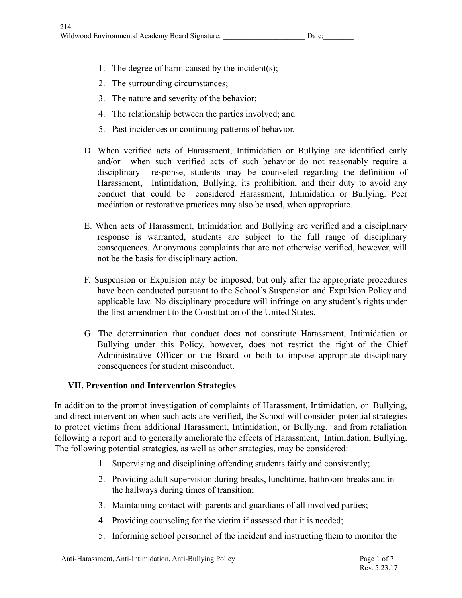- 1. The degree of harm caused by the incident(s);
- 2. The surrounding circumstances;
- 3. The nature and severity of the behavior;
- 4. The relationship between the parties involved; and
- 5. Past incidences or continuing patterns of behavior.
- D. When verified acts of Harassment, Intimidation or Bullying are identified early and/or when such verified acts of such behavior do not reasonably require a disciplinary response, students may be counseled regarding the definition of Harassment, Intimidation, Bullying, its prohibition, and their duty to avoid any conduct that could be considered Harassment, Intimidation or Bullying. Peer mediation or restorative practices may also be used, when appropriate.
- E. When acts of Harassment, Intimidation and Bullying are verified and a disciplinary response is warranted, students are subject to the full range of disciplinary consequences. Anonymous complaints that are not otherwise verified, however, will not be the basis for disciplinary action.
- F. Suspension or Expulsion may be imposed, but only after the appropriate procedures have been conducted pursuant to the School's Suspension and Expulsion Policy and applicable law. No disciplinary procedure will infringe on any student's rights under the first amendment to the Constitution of the United States.
- G. The determination that conduct does not constitute Harassment, Intimidation or Bullying under this Policy, however, does not restrict the right of the Chief Administrative Officer or the Board or both to impose appropriate disciplinary consequences for student misconduct.

# **VII. Prevention and Intervention Strategies**

In addition to the prompt investigation of complaints of Harassment, Intimidation, or Bullying, and direct intervention when such acts are verified, the School will consider potential strategies to protect victims from additional Harassment, Intimidation, or Bullying, and from retaliation following a report and to generally ameliorate the effects of Harassment, Intimidation, Bullying. The following potential strategies, as well as other strategies, may be considered:

- 1. Supervising and disciplining offending students fairly and consistently;
- 2. Providing adult supervision during breaks, lunchtime, bathroom breaks and in the hallways during times of transition;
- 3. Maintaining contact with parents and guardians of all involved parties;
- 4. Providing counseling for the victim if assessed that it is needed;
- 5. Informing school personnel of the incident and instructing them to monitor the